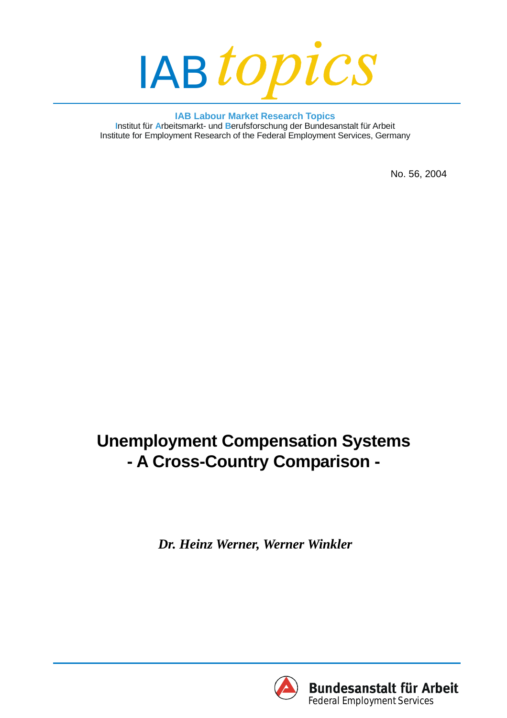

**IAB Labour Market Research Topics** Institut für Arbeitsmarkt- und Berufsforschung der Bundesanstalt für Arbeit Institute for Employment Research of the Federal Employment Services, Germany

No. 56, 2004

# **Unemployment Compensation Systems - A Cross-Country Comparison -**

*Dr. Heinz Werner, Werner Winkler*

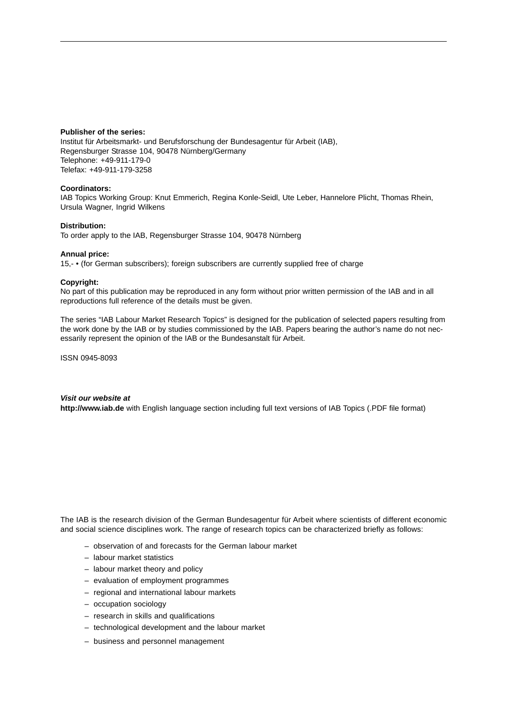#### **Publisher of the series:**

Institut für Arbeitsmarkt- und Berufsforschung der Bundesagentur für Arbeit (IAB), Regensburger Strasse 104, 90478 Nürnberg/Germany Telephone: +49-911-179-0 Telefax: +49-911-179-3258

#### **Coordinators:**

IAB Topics Working Group: Knut Emmerich, Regina Konle-Seidl, Ute Leber, Hannelore Plicht, Thomas Rhein, Ursula Wagner, Ingrid Wilkens

#### **Distribution:**

To order apply to the IAB, Regensburger Strasse 104, 90478 Nürnberg

#### **Annual price:**

15,- • (for German subscribers); foreign subscribers are currently supplied free of charge

#### **Copyright:**

No part of this publication may be reproduced in any form without prior written permission of the IAB and in all reproductions full reference of the details must be given.

The series "IAB Labour Market Research Topics" is designed for the publication of selected papers resulting from the work done by the IAB or by studies commissioned by the IAB. Papers bearing the author's name do not necessarily represent the opinion of the IAB or the Bundesanstalt für Arbeit.

ISSN 0945-8093

#### *Visit our website at* **http://www.iab.de** with English language section including full text versions of IAB Topics (.PDF file format)

The IAB is the research division of the German Bundesagentur für Arbeit where scientists of different economic and social science disciplines work. The range of research topics can be characterized briefly as follows:

- observation of and forecasts for the German labour market
- labour market statistics
- labour market theory and policy
- evaluation of employment programmes
- regional and international labour markets
- occupation sociology
- research in skills and qualifications
- technological development and the labour market
- business and personnel management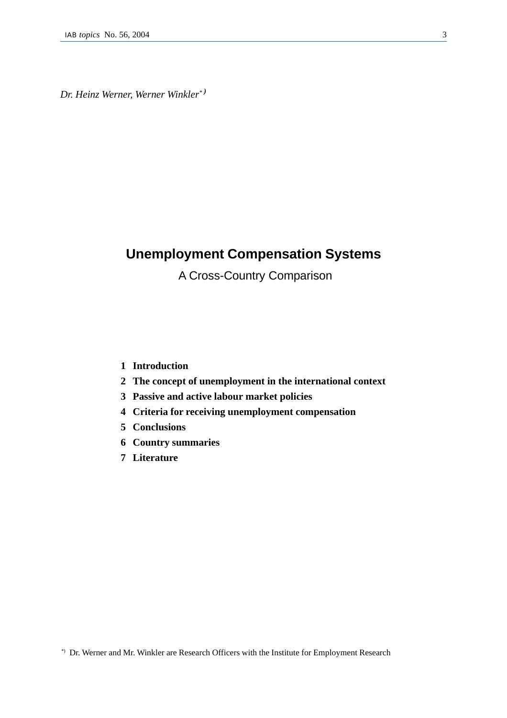*Dr. Heinz Werner, Werner Winkler\* )*

# **Unemployment Compensation Systems**

A Cross-Country Comparison

### **1 Introduction**

- **2 The concept of unemployment in the international context**
- **3 Passive and active labour market policies**
- **4 Criteria for receiving unemployment compensation**
- **5 Conclusions**
- **6 Country summaries**
- **7 Literature**

<sup>\*)</sup> Dr. Werner and Mr. Winkler are Research Officers with the Institute for Employment Research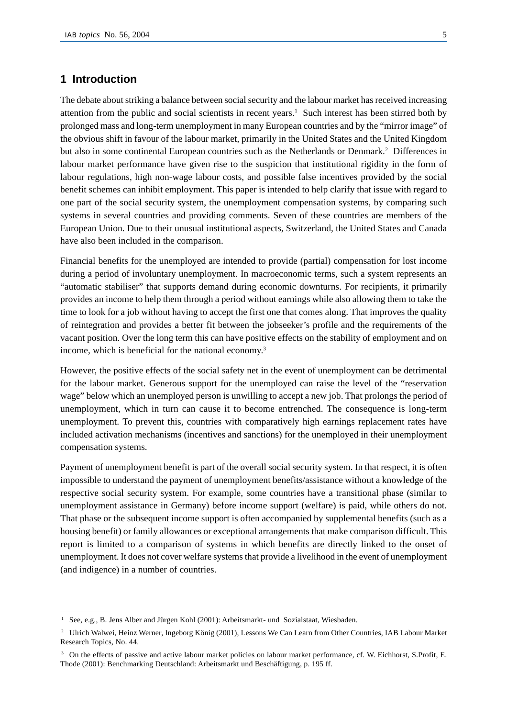# **1 Introduction**

The debate about striking a balance between social security and the labour market has received increasing attention from the public and social scientists in recent years.1 Such interest has been stirred both by prolonged mass and long-term unemployment in many European countries and by the "mirror image" of the obvious shift in favour of the labour market, primarily in the United States and the United Kingdom but also in some continental European countries such as the Netherlands or Denmark.<sup>2</sup> Differences in labour market performance have given rise to the suspicion that institutional rigidity in the form of labour regulations, high non-wage labour costs, and possible false incentives provided by the social benefit schemes can inhibit employment. This paper is intended to help clarify that issue with regard to one part of the social security system, the unemployment compensation systems, by comparing such systems in several countries and providing comments. Seven of these countries are members of the European Union. Due to their unusual institutional aspects, Switzerland, the United States and Canada have also been included in the comparison.

Financial benefits for the unemployed are intended to provide (partial) compensation for lost income during a period of involuntary unemployment. In macroeconomic terms, such a system represents an "automatic stabiliser" that supports demand during economic downturns. For recipients, it primarily provides an income to help them through a period without earnings while also allowing them to take the time to look for a job without having to accept the first one that comes along. That improves the quality of reintegration and provides a better fit between the jobseeker's profile and the requirements of the vacant position. Over the long term this can have positive effects on the stability of employment and on income, which is beneficial for the national economy.3

However, the positive effects of the social safety net in the event of unemployment can be detrimental for the labour market. Generous support for the unemployed can raise the level of the "reservation wage" below which an unemployed person is unwilling to accept a new job. That prolongs the period of unemployment, which in turn can cause it to become entrenched. The consequence is long-term unemployment. To prevent this, countries with comparatively high earnings replacement rates have included activation mechanisms (incentives and sanctions) for the unemployed in their unemployment compensation systems.

Payment of unemployment benefit is part of the overall social security system. In that respect, it is often impossible to understand the payment of unemployment benefits/assistance without a knowledge of the respective social security system. For example, some countries have a transitional phase (similar to unemployment assistance in Germany) before income support (welfare) is paid, while others do not. That phase or the subsequent income support is often accompanied by supplemental benefits (such as a housing benefit) or family allowances or exceptional arrangements that make comparison difficult. This report is limited to a comparison of systems in which benefits are directly linked to the onset of unemployment. It does not cover welfare systems that provide a livelihood in the event of unemployment (and indigence) in a number of countries.

<sup>&</sup>lt;sup>1</sup> See, e.g., B. Jens Alber and Jürgen Kohl (2001): Arbeitsmarkt- und Sozialstaat, Wiesbaden.

<sup>2</sup> Ulrich Walwei, Heinz Werner, Ingeborg König (2001), Lessons We Can Learn from Other Countries, IAB Labour Market Research Topics, No. 44.

<sup>&</sup>lt;sup>3</sup> On the effects of passive and active labour market policies on labour market performance, cf. W. Eichhorst, S.Profit, E. Thode (2001): Benchmarking Deutschland: Arbeitsmarkt und Beschäftigung, p. 195 ff.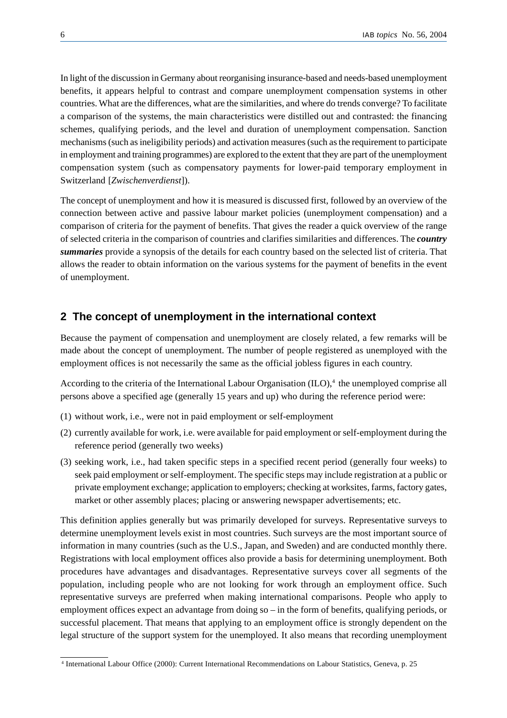In light of the discussion in Germany about reorganising insurance-based and needs-based unemployment benefits, it appears helpful to contrast and compare unemployment compensation systems in other countries. What are the differences, what are the similarities, and where do trends converge? To facilitate a comparison of the systems, the main characteristics were distilled out and contrasted: the financing schemes, qualifying periods, and the level and duration of unemployment compensation. Sanction mechanisms (such as ineligibility periods) and activation measures (such as the requirement to participate in employment and training programmes) are explored to the extent that they are part of the unemployment compensation system (such as compensatory payments for lower-paid temporary employment in Switzerland [*Zwischenverdienst*]).

The concept of unemployment and how it is measured is discussed first, followed by an overview of the connection between active and passive labour market policies (unemployment compensation) and a comparison of criteria for the payment of benefits. That gives the reader a quick overview of the range of selected criteria in the comparison of countries and clarifies similarities and differences. The *country summaries* provide a synopsis of the details for each country based on the selected list of criteria. That allows the reader to obtain information on the various systems for the payment of benefits in the event of unemployment.

## **2 The concept of unemployment in the international context**

Because the payment of compensation and unemployment are closely related, a few remarks will be made about the concept of unemployment. The number of people registered as unemployed with the employment offices is not necessarily the same as the official jobless figures in each country.

According to the criteria of the International Labour Organisation  $(II_0)$ ,<sup>4</sup>, the unemployed comprise all persons above a specified age (generally 15 years and up) who during the reference period were:

- (1) without work, i.e., were not in paid employment or self-employment
- (2) currently available for work, i.e. were available for paid employment or self-employment during the reference period (generally two weeks)
- (3) seeking work, i.e., had taken specific steps in a specified recent period (generally four weeks) to seek paid employment or self-employment. The specific steps may include registration at a public or private employment exchange; application to employers; checking at worksites, farms, factory gates, market or other assembly places; placing or answering newspaper advertisements; etc.

This definition applies generally but was primarily developed for surveys. Representative surveys to determine unemployment levels exist in most countries. Such surveys are the most important source of information in many countries (such as the U.S., Japan, and Sweden) and are conducted monthly there. Registrations with local employment offices also provide a basis for determining unemployment. Both procedures have advantages and disadvantages. Representative surveys cover all segments of the population, including people who are not looking for work through an employment office. Such representative surveys are preferred when making international comparisons. People who apply to employment offices expect an advantage from doing so – in the form of benefits, qualifying periods, or successful placement. That means that applying to an employment office is strongly dependent on the legal structure of the support system for the unemployed. It also means that recording unemployment

<sup>4</sup> International Labour Office (2000): Current International Recommendations on Labour Statistics, Geneva, p. 25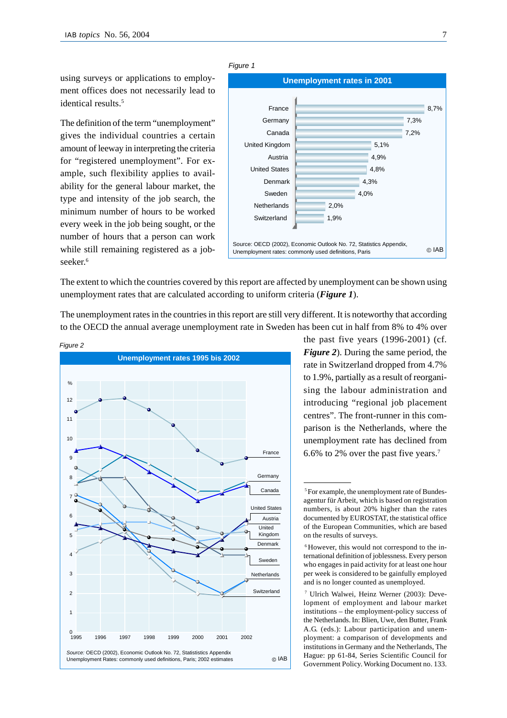using surveys or applications to employment offices does not necessarily lead to identical results.<sup>5</sup>

The definition of the term "unemployment" gives the individual countries a certain amount of leeway in interpreting the criteria for "registered unemployment". For example, such flexibility applies to availability for the general labour market, the type and intensity of the job search, the minimum number of hours to be worked every week in the job being sought, or the number of hours that a person can work while still remaining registered as a jobseeker<sup>6</sup>



The extent to which the countries covered by this report are affected by unemployment can be shown using unemployment rates that are calculated according to uniform criteria (*Figure 1*).

The unemployment rates in the countries in this report are still very different. It is noteworthy that according to the OECD the annual average unemployment rate in Sweden has been cut in half from 8% to 4% over



the past five years (1996-2001) (cf*. Figure 2*). During the same period, the rate in Switzerland dropped from 4.7% to 1.9%, partially as a result of reorganising the labour administration and introducing "regional job placement centres". The front-runner in this comparison is the Netherlands, where the unemployment rate has declined from 6.6% to 2% over the past five years.7

<sup>5</sup> For example, the unemployment rate of Bundesagentur für Arbeit, which is based on registration numbers, is about 20% higher than the rates documented by EUROSTAT, the statistical office of the European Communities, which are based on the results of surveys.

<sup>6</sup> However, this would not correspond to the international definition of joblessness. Every person who engages in paid activity for at least one hour per week is considered to be gainfully employed and is no longer counted as unemployed.

<sup>7</sup> Ulrich Walwei, Heinz Werner (2003): Development of employment and labour market institutions – the employment-policy success of the Netherlands. In: Blien, Uwe, den Butter, Frank A.G. (eds.): Labour participation and unemployment: a comparison of developments and institutions in Germany and the Netherlands, The Hague: pp 61-84, Series Scientific Council for Government Policy. Working Document no. 133.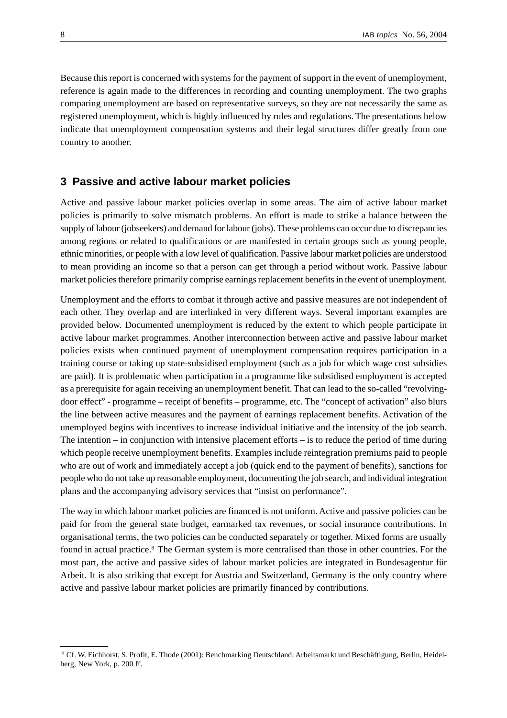Because this report is concerned with systems for the payment of support in the event of unemployment, reference is again made to the differences in recording and counting unemployment. The two graphs comparing unemployment are based on representative surveys, so they are not necessarily the same as registered unemployment, which is highly influenced by rules and regulations. The presentations below indicate that unemployment compensation systems and their legal structures differ greatly from one country to another.

## **3 Passive and active labour market policies**

Active and passive labour market policies overlap in some areas. The aim of active labour market policies is primarily to solve mismatch problems. An effort is made to strike a balance between the supply of labour (jobseekers) and demand for labour (jobs). These problems can occur due to discrepancies among regions or related to qualifications or are manifested in certain groups such as young people, ethnic minorities, or people with a low level of qualification. Passive labour market policies are understood to mean providing an income so that a person can get through a period without work. Passive labour market policies therefore primarily comprise earnings replacement benefits in the event of unemployment.

Unemployment and the efforts to combat it through active and passive measures are not independent of each other. They overlap and are interlinked in very different ways. Several important examples are provided below. Documented unemployment is reduced by the extent to which people participate in active labour market programmes. Another interconnection between active and passive labour market policies exists when continued payment of unemployment compensation requires participation in a training course or taking up state-subsidised employment (such as a job for which wage cost subsidies are paid). It is problematic when participation in a programme like subsidised employment is accepted as a prerequisite for again receiving an unemployment benefit. That can lead to the so-called "revolvingdoor effect" - programme – receipt of benefits – programme, etc. The "concept of activation" also blurs the line between active measures and the payment of earnings replacement benefits. Activation of the unemployed begins with incentives to increase individual initiative and the intensity of the job search. The intention – in conjunction with intensive placement efforts – is to reduce the period of time during which people receive unemployment benefits. Examples include reintegration premiums paid to people who are out of work and immediately accept a job (quick end to the payment of benefits), sanctions for people who do not take up reasonable employment, documenting the job search, and individual integration plans and the accompanying advisory services that "insist on performance".

The way in which labour market policies are financed is not uniform. Active and passive policies can be paid for from the general state budget, earmarked tax revenues, or social insurance contributions. In organisational terms, the two policies can be conducted separately or together. Mixed forms are usually found in actual practice.<sup>8</sup> The German system is more centralised than those in other countries. For the most part, the active and passive sides of labour market policies are integrated in Bundesagentur für Arbeit. It is also striking that except for Austria and Switzerland, Germany is the only country where active and passive labour market policies are primarily financed by contributions.

<sup>8</sup> Cf. W. Eichhorst, S. Profit, E. Thode (2001): Benchmarking Deutschland: Arbeitsmarkt und Beschäftigung, Berlin, Heidelberg, New York, p. 200 ff.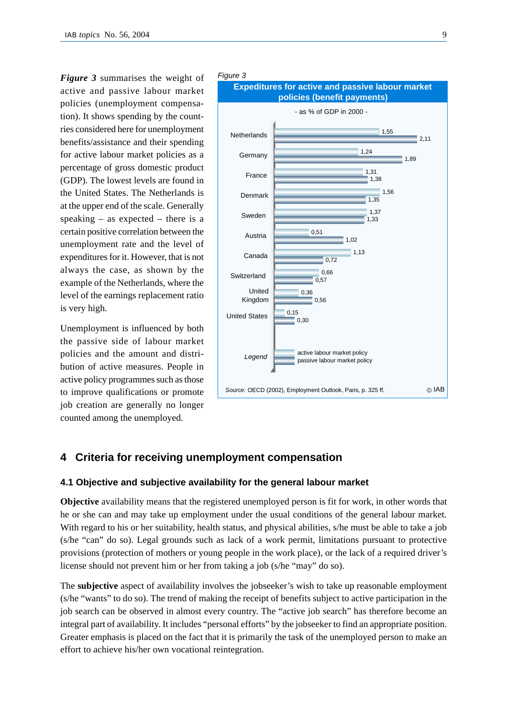*Figure 3* summarises the weight of active and passive labour market policies (unemployment compensation). It shows spending by the countries considered here for unemployment benefits/assistance and their spending for active labour market policies as a percentage of gross domestic product (GDP). The lowest levels are found in the United States. The Netherlands is at the upper end of the scale. Generally speaking – as expected – there is a certain positive correlation between the unemployment rate and the level of expenditures for it. However, that is not always the case, as shown by the example of the Netherlands, where the level of the earnings replacement ratio is very high.

Unemployment is influenced by both the passive side of labour market policies and the amount and distribution of active measures. People in active policy programmes such as those to improve qualifications or promote job creation are generally no longer counted among the unemployed.





# **4 Criteria for receiving unemployment compensation**

### **4.1 Objective and subjective availability for the general labour market**

**Objective** availability means that the registered unemployed person is fit for work, in other words that he or she can and may take up employment under the usual conditions of the general labour market. With regard to his or her suitability, health status, and physical abilities, s/he must be able to take a job (s/he "can" do so). Legal grounds such as lack of a work permit, limitations pursuant to protective provisions (protection of mothers or young people in the work place), or the lack of a required driver's license should not prevent him or her from taking a job (s/he "may" do so).

The **subjective** aspect of availability involves the jobseeker's wish to take up reasonable employment (s/he "wants" to do so). The trend of making the receipt of benefits subject to active participation in the job search can be observed in almost every country. The "active job search" has therefore become an integral part of availability. It includes "personal efforts" by the jobseeker to find an appropriate position. Greater emphasis is placed on the fact that it is primarily the task of the unemployed person to make an effort to achieve his/her own vocational reintegration.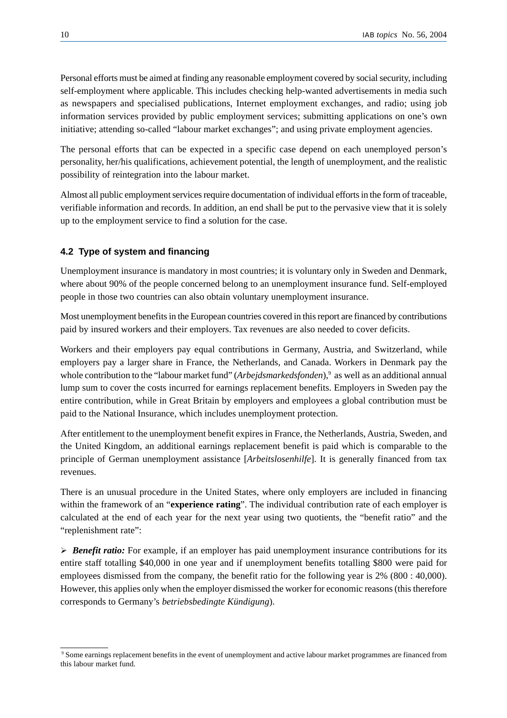Personal efforts must be aimed at finding any reasonable employment covered by social security, including self-employment where applicable. This includes checking help-wanted advertisements in media such as newspapers and specialised publications, Internet employment exchanges, and radio; using job information services provided by public employment services; submitting applications on one's own initiative; attending so-called "labour market exchanges"; and using private employment agencies.

The personal efforts that can be expected in a specific case depend on each unemployed person's personality, her/his qualifications, achievement potential, the length of unemployment, and the realistic possibility of reintegration into the labour market.

Almost all public employment services require documentation of individual efforts in the form of traceable, verifiable information and records. In addition, an end shall be put to the pervasive view that it is solely up to the employment service to find a solution for the case.

# **4.2 Type of system and financing**

Unemployment insurance is mandatory in most countries; it is voluntary only in Sweden and Denmark, where about 90% of the people concerned belong to an unemployment insurance fund. Self-employed people in those two countries can also obtain voluntary unemployment insurance.

Most unemployment benefits in the European countries covered in this report are financed by contributions paid by insured workers and their employers. Tax revenues are also needed to cover deficits.

Workers and their employers pay equal contributions in Germany, Austria, and Switzerland, while employers pay a larger share in France, the Netherlands, and Canada. Workers in Denmark pay the whole contribution to the "labour market fund" (*Arbejdsmarkedsfonden*),<sup>9</sup> as well as an additional annual lump sum to cover the costs incurred for earnings replacement benefits. Employers in Sweden pay the entire contribution, while in Great Britain by employers and employees a global contribution must be paid to the National Insurance, which includes unemployment protection.

After entitlement to the unemployment benefit expires in France, the Netherlands, Austria, Sweden, and the United Kingdom, an additional earnings replacement benefit is paid which is comparable to the principle of German unemployment assistance [*Arbeitslosenhilfe*]. It is generally financed from tax revenues.

There is an unusual procedure in the United States, where only employers are included in financing within the framework of an "**experience rating**". The individual contribution rate of each employer is calculated at the end of each year for the next year using two quotients, the "benefit ratio" and the "replenishment rate":

**Benefit ratio:** For example, if an employer has paid unemployment insurance contributions for its entire staff totalling \$40,000 in one year and if unemployment benefits totalling \$800 were paid for employees dismissed from the company, the benefit ratio for the following year is 2% (800 : 40,000). However, this applies only when the employer dismissed the worker for economic reasons (this therefore corresponds to Germany's *betriebsbedingte Kündigung*).

<sup>9</sup> Some earnings replacement benefits in the event of unemployment and active labour market programmes are financed from this labour market fund.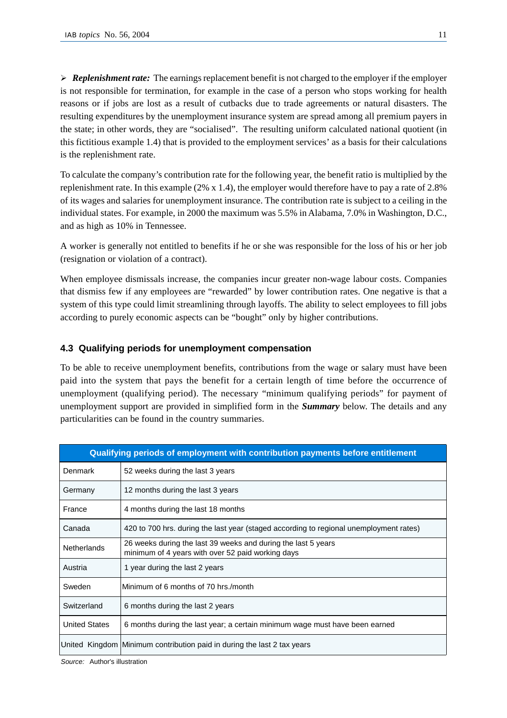$\triangleright$  **Replenishment rate:** The earnings replacement benefit is not charged to the employer if the employer is not responsible for termination, for example in the case of a person who stops working for health reasons or if jobs are lost as a result of cutbacks due to trade agreements or natural disasters. The resulting expenditures by the unemployment insurance system are spread among all premium payers in the state; in other words, they are "socialised". The resulting uniform calculated national quotient (in this fictitious example 1.4) that is provided to the employment services' as a basis for their calculations is the replenishment rate.

To calculate the company's contribution rate for the following year, the benefit ratio is multiplied by the replenishment rate. In this example (2% x 1.4), the employer would therefore have to pay a rate of 2.8% of its wages and salaries for unemployment insurance. The contribution rate is subject to a ceiling in the individual states. For example, in 2000 the maximum was 5.5% in Alabama, 7.0% in Washington, D.C., and as high as 10% in Tennessee.

A worker is generally not entitled to benefits if he or she was responsible for the loss of his or her job (resignation or violation of a contract).

When employee dismissals increase, the companies incur greater non-wage labour costs. Companies that dismiss few if any employees are "rewarded" by lower contribution rates. One negative is that a system of this type could limit streamlining through layoffs. The ability to select employees to fill jobs according to purely economic aspects can be "bought" only by higher contributions.

### **4.3 Qualifying periods for unemployment compensation**

To be able to receive unemployment benefits, contributions from the wage or salary must have been paid into the system that pays the benefit for a certain length of time before the occurrence of unemployment (qualifying period). The necessary "minimum qualifying periods" for payment of unemployment support are provided in simplified form in the *Summary* below. The details and any particularities can be found in the country summaries.

| Qualifying periods of employment with contribution payments before entitlement |                                                                                                                    |  |
|--------------------------------------------------------------------------------|--------------------------------------------------------------------------------------------------------------------|--|
| Denmark                                                                        | 52 weeks during the last 3 years                                                                                   |  |
| Germany                                                                        | 12 months during the last 3 years                                                                                  |  |
| France                                                                         | 4 months during the last 18 months                                                                                 |  |
| Canada                                                                         | 420 to 700 hrs. during the last year (staged according to regional unemployment rates)                             |  |
| <b>Netherlands</b>                                                             | 26 weeks during the last 39 weeks and during the last 5 years<br>minimum of 4 years with over 52 paid working days |  |
| Austria                                                                        | 1 year during the last 2 years                                                                                     |  |
| Sweden                                                                         | Minimum of 6 months of 70 hrs./month                                                                               |  |
| Switzerland                                                                    | 6 months during the last 2 years                                                                                   |  |
| <b>United States</b>                                                           | 6 months during the last year; a certain minimum wage must have been earned                                        |  |
|                                                                                | United Kingdom   Minimum contribution paid in during the last 2 tax years                                          |  |

*Source:* Author's illustration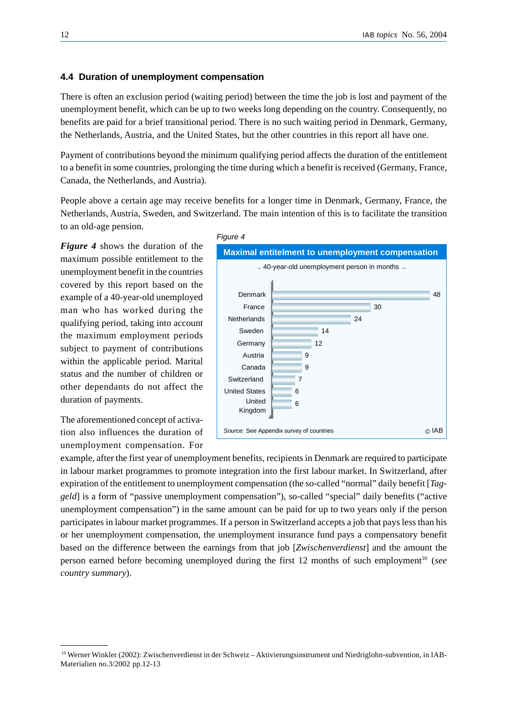#### **4.4 Duration of unemployment compensation**

There is often an exclusion period (waiting period) between the time the job is lost and payment of the unemployment benefit, which can be up to two weeks long depending on the country. Consequently, no benefits are paid for a brief transitional period. There is no such waiting period in Denmark, Germany, the Netherlands, Austria, and the United States, but the other countries in this report all have one.

Payment of contributions beyond the minimum qualifying period affects the duration of the entitlement to a benefit in some countries, prolonging the time during which a benefit is received (Germany, France, Canada, the Netherlands, and Austria).

People above a certain age may receive benefits for a longer time in Denmark, Germany, France, the Netherlands, Austria, Sweden, and Switzerland. The main intention of this is to facilitate the transition to an old-age pension.

*Figure 4* shows the duration of the maximum possible entitlement to the unemployment benefit in the countries covered by this report based on the example of a 40-year-old unemployed man who has worked during the qualifying period, taking into account the maximum employment periods subject to payment of contributions within the applicable period. Marital status and the number of children or other dependants do not affect the duration of payments.

The aforementioned concept of activation also influences the duration of unemployment compensation. For



example, after the first year of unemployment benefits, recipients in Denmark are required to participate in labour market programmes to promote integration into the first labour market. In Switzerland, after expiration of the entitlement to unemployment compensation (the so-called "normal" daily benefit [*Taggeld*] is a form of "passive unemployment compensation"), so-called "special" daily benefits ("active unemployment compensation") in the same amount can be paid for up to two years only if the person participates in labour market programmes. If a person in Switzerland accepts a job that pays less than his or her unemployment compensation, the unemployment insurance fund pays a compensatory benefit based on the difference between the earnings from that job [*Zwischenverdienst*] and the amount the person earned before becoming unemployed during the first 12 months of such employment<sup>10</sup> (*see country summary*).

<sup>10</sup> Werner Winkler (2002): Zwischenverdienst in der Schweiz – Aktivierungsinstrument und Niedriglohn-subvention, in IAB-Materialien no.3/2002 pp.12-13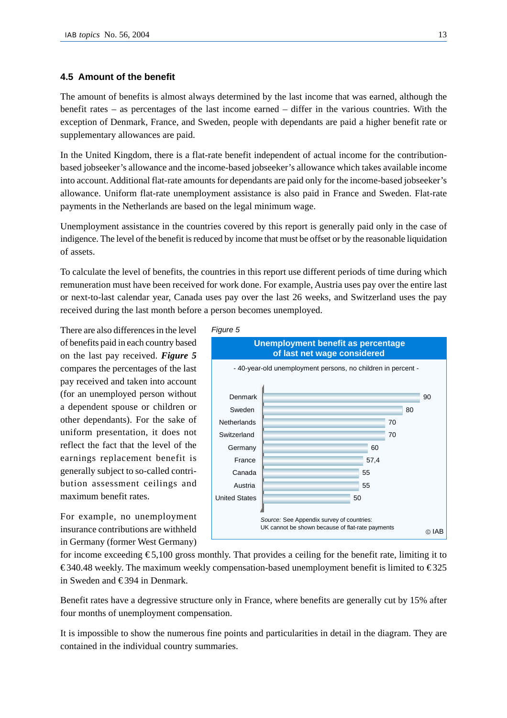#### **4.5 Amount of the benefit**

The amount of benefits is almost always determined by the last income that was earned, although the benefit rates – as percentages of the last income earned – differ in the various countries. With the exception of Denmark, France, and Sweden, people with dependants are paid a higher benefit rate or supplementary allowances are paid.

In the United Kingdom, there is a flat-rate benefit independent of actual income for the contributionbased jobseeker's allowance and the income-based jobseeker's allowance which takes available income into account. Additional flat-rate amounts for dependants are paid only for the income-based jobseeker's allowance. Uniform flat-rate unemployment assistance is also paid in France and Sweden. Flat-rate payments in the Netherlands are based on the legal minimum wage.

Unemployment assistance in the countries covered by this report is generally paid only in the case of indigence. The level of the benefit is reduced by income that must be offset or by the reasonable liquidation of assets.

To calculate the level of benefits, the countries in this report use different periods of time during which remuneration must have been received for work done. For example, Austria uses pay over the entire last or next-to-last calendar year, Canada uses pay over the last 26 weeks, and Switzerland uses the pay received during the last month before a person becomes unemployed.

There are also differences in the level of benefits paid in each country based on the last pay received. *Figure 5* compares the percentages of the last pay received and taken into account (for an unemployed person without a dependent spouse or children or other dependants). For the sake of uniform presentation, it does not reflect the fact that the level of the earnings replacement benefit is generally subject to so-called contribution assessment ceilings and maximum benefit rates.

For example, no unemployment insurance contributions are withheld in Germany (former West Germany)



for income exceeding  $\epsilon$ 5,100 gross monthly. That provides a ceiling for the benefit rate, limiting it to €340.48 weekly. The maximum weekly compensation-based unemployment benefit is limited to  $€325$ in Sweden and  $\epsilon$ 394 in Denmark.

Benefit rates have a degressive structure only in France, where benefits are generally cut by 15% after four months of unemployment compensation.

It is impossible to show the numerous fine points and particularities in detail in the diagram. They are contained in the individual country summaries.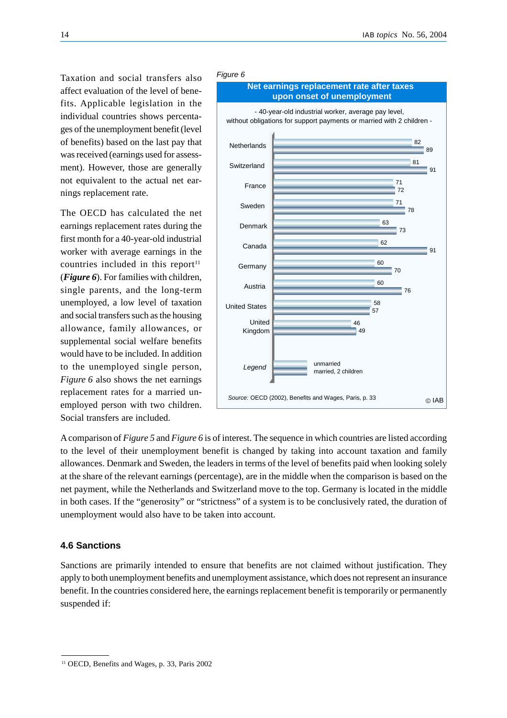Taxation and social transfers also affect evaluation of the level of benefits. Applicable legislation in the individual countries shows percentages of the unemployment benefit (level of benefits) based on the last pay that was received (earnings used for assessment). However, those are generally not equivalent to the actual net earnings replacement rate.

The OECD has calculated the net earnings replacement rates during the first month for a 40-year-old industrial worker with average earnings in the countries included in this report $11$ (*Figure 6*). For families with children, single parents, and the long-term unemployed, a low level of taxation and social transfers such as the housing allowance, family allowances, or supplemental social welfare benefits would have to be included. In addition to the unemployed single person, *Figure 6* also shows the net earnings replacement rates for a married unemployed person with two children. Social transfers are included.



A comparison of *Figure 5* and *Figure 6* is of interest. The sequence in which countries are listed according to the level of their unemployment benefit is changed by taking into account taxation and family allowances. Denmark and Sweden, the leaders in terms of the level of benefits paid when looking solely at the share of the relevant earnings (percentage), are in the middle when the comparison is based on the net payment, while the Netherlands and Switzerland move to the top. Germany is located in the middle in both cases. If the "generosity" or "strictness" of a system is to be conclusively rated, the duration of unemployment would also have to be taken into account.

### **4.6 Sanctions**

Sanctions are primarily intended to ensure that benefits are not claimed without justification. They apply to both unemployment benefits and unemployment assistance, which does not represent an insurance benefit. In the countries considered here, the earnings replacement benefit is temporarily or permanently suspended if:

<sup>&</sup>lt;sup>11</sup> OECD, Benefits and Wages, p. 33, Paris 2002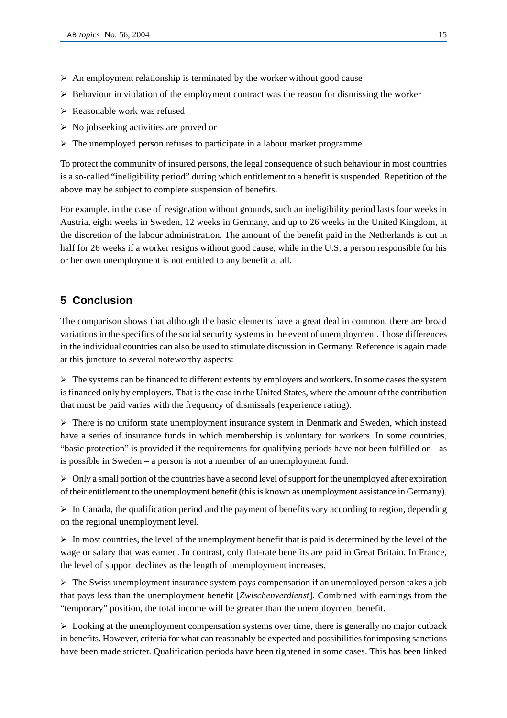- $\triangleright$  An employment relationship is terminated by the worker without good cause
- $\triangleright$  Behaviour in violation of the employment contract was the reason for dismissing the worker
- $\triangleright$  Reasonable work was refused
- $\triangleright$  No jobseeking activities are proved or
- $\triangleright$  The unemployed person refuses to participate in a labour market programme

To protect the community of insured persons, the legal consequence of such behaviour in most countries is a so-called "ineligibility period" during which entitlement to a benefit is suspended. Repetition of the above may be subject to complete suspension of benefits.

For example, in the case of resignation without grounds, such an ineligibility period lasts four weeks in Austria, eight weeks in Sweden, 12 weeks in Germany, and up to 26 weeks in the United Kingdom, at the discretion of the labour administration. The amount of the benefit paid in the Netherlands is cut in half for 26 weeks if a worker resigns without good cause, while in the U.S. a person responsible for his or her own unemployment is not entitled to any benefit at all.

# **5 Conclusion**

The comparison shows that although the basic elements have a great deal in common, there are broad variations in the specifics of the social security systems in the event of unemployment. Those differences in the individual countries can also be used to stimulate discussion in Germany. Reference is again made at this juncture to several noteworthy aspects:

 $\triangleright$  The systems can be financed to different extents by employers and workers. In some cases the system is financed only by employers. That is the case in the United States, where the amount of the contribution that must be paid varies with the frequency of dismissals (experience rating).

 $\triangleright$  There is no uniform state unemployment insurance system in Denmark and Sweden, which instead have a series of insurance funds in which membership is voluntary for workers. In some countries, "basic protection" is provided if the requirements for qualifying periods have not been fulfilled or – as is possible in Sweden – a person is not a member of an unemployment fund.

 $\triangleright$  Only a small portion of the countries have a second level of support for the unemployed after expiration of their entitlement to the unemployment benefit (this is known as unemployment assistance in Germany).

 $\triangleright$  In Canada, the qualification period and the payment of benefits vary according to region, depending on the regional unemployment level.

 $\triangleright$  In most countries, the level of the unemployment benefit that is paid is determined by the level of the wage or salary that was earned. In contrast, only flat-rate benefits are paid in Great Britain. In France, the level of support declines as the length of unemployment increases.

 $\triangleright$  The Swiss unemployment insurance system pays compensation if an unemployed person takes a job that pays less than the unemployment benefit [*Zwischenverdienst*]. Combined with earnings from the "temporary" position, the total income will be greater than the unemployment benefit.

 $\triangleright$  Looking at the unemployment compensation systems over time, there is generally no major cutback in benefits. However, criteria for what can reasonably be expected and possibilities for imposing sanctions have been made stricter. Qualification periods have been tightened in some cases. This has been linked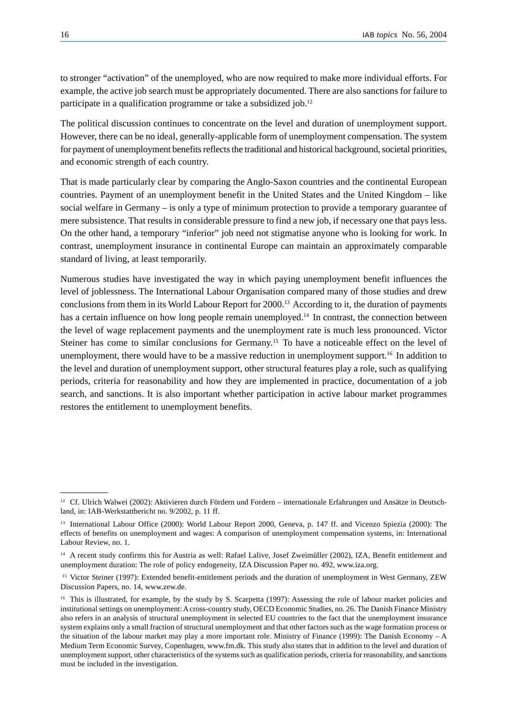to stronger "activation" of the unemployed, who are now required to make more individual efforts. For example, the active job search must be appropriately documented. There are also sanctions for failure to participate in a qualification programme or take a subsidized job.<sup>12</sup>

The political discussion continues to concentrate on the level and duration of unemployment support. However, there can be no ideal, generally-applicable form of unemployment compensation. The system for payment of unemployment benefits reflects the traditional and historical background, societal priorities, and economic strength of each country.

That is made particularly clear by comparing the Anglo-Saxon countries and the continental European countries. Payment of an unemployment benefit in the United States and the United Kingdom – like social welfare in Germany – is only a type of minimum protection to provide a temporary guarantee of mere subsistence. That results in considerable pressure to find a new job, if necessary one that pays less. On the other hand, a temporary "inferior" job need not stigmatise anyone who is looking for work. In contrast, unemployment insurance in continental Europe can maintain an approximately comparable standard of living, at least temporarily.

Numerous studies have investigated the way in which paying unemployment benefit influences the level of joblessness. The International Labour Organisation compared many of those studies and drew conclusions from them in its World Labour Report for 2000.13 According to it, the duration of payments has a certain influence on how long people remain unemployed.<sup>14</sup> In contrast, the connection between the level of wage replacement payments and the unemployment rate is much less pronounced. Victor Steiner has come to similar conclusions for Germany.15 To have a noticeable effect on the level of unemployment, there would have to be a massive reduction in unemployment support.<sup>16</sup> In addition to the level and duration of unemployment support, other structural features play a role, such as qualifying periods, criteria for reasonability and how they are implemented in practice, documentation of a job search, and sanctions. It is also important whether participation in active labour market programmes restores the entitlement to unemployment benefits.

<sup>&</sup>lt;sup>12</sup> Cf. Ulrich Walwei (2002): Aktivieren durch Fördern und Fordern – internationale Erfahrungen und Ansätze in Deutschland, in: IAB-Werkstattbericht no. 9/2002, p. 11 ff.

<sup>13</sup> International Labour Office (2000): World Labour Report 2000, Geneva, p. 147 ff. and Vicenzo Spiezia (2000): The effects of benefits on unemployment and wages: A comparison of unemployment compensation systems, in: International Labour Review, no. 1.

<sup>&</sup>lt;sup>14</sup> A recent study confirms this for Austria as well: Rafael Lalive, Josef Zweimüller (2002), IZA, Benefit entitlement and unemployment duration: The role of policy endogeneity, IZA Discussion Paper no. 492, www.iza.org.

<sup>15</sup> Victor Steiner (1997): Extended benefit-entitlement periods and the duration of unemployment in West Germany, ZEW Discussion Papers, no. 14, www.zew.de.

<sup>&</sup>lt;sup>16</sup> This is illustrated, for example, by the study by S. Scarpetta (1997): Assessing the role of labour market policies and institutional settings on unemployment: A cross-country study, OECD Economic Studies, no. 26. The Danish Finance Ministry also refers in an analysis of structural unemployment in selected EU countries to the fact that the unemployment insurance system explains only a small fraction of structural unemployment and that other factors such as the wage formation process or the situation of the labour market may play a more important role. Ministry of Finance (1999): The Danish Economy – A Medium Term Economic Survey, Copenhagen, www.fm.dk. This study also states that in addition to the level and duration of unemployment support, other characteristics of the systems such as qualification periods, criteria for reasonability, and sanctions must be included in the investigation.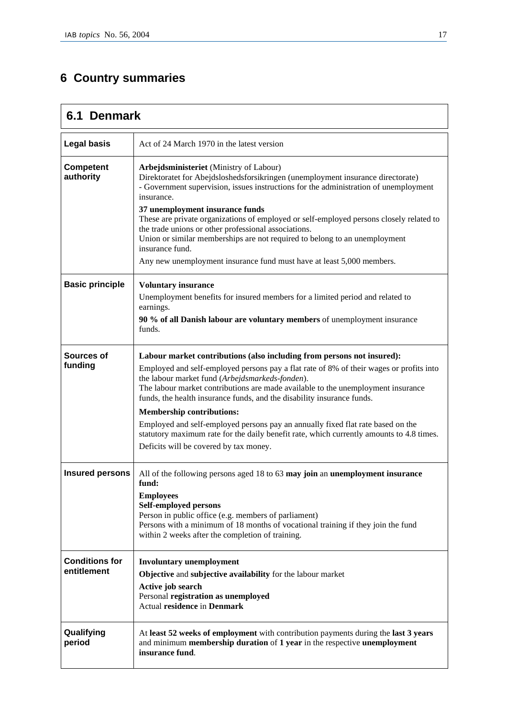# **6 Country summaries**

## **6.1 Denmark Legal basis** | Act of 24 March 1970 in the latest version **Competent authority Arbejdsministeriet** (Ministry of Labour) Direktoratet for Abejdsloshedsforsikringen (unemployment insurance directorate) - Government supervision, issues instructions for the administration of unemployment insurance. **37 unemployment insurance funds** These are private organizations of employed or self-employed persons closely related to the trade unions or other professional associations. Union or similar memberships are not required to belong to an unemployment insurance fund. Any new unemployment insurance fund must have at least 5,000 members. **Basic principle Voluntary insurance**  Unemployment benefits for insured members for a limited period and related to earnings. **90 % of all Danish labour are voluntary members** of unemployment insurance funds. **Sources of funding Labour market contributions (also including from persons not insured):**  Employed and self-employed persons pay a flat rate of 8% of their wages or profits into the labour market fund (*Arbejdsmarkeds-fonden*). The labour market contributions are made available to the unemployment insurance funds, the health insurance funds, and the disability insurance funds. **Membership contributions:**  Employed and self-employed persons pay an annually fixed flat rate based on the statutory maximum rate for the daily benefit rate, which currently amounts to 4.8 times. Deficits will be covered by tax money. **Insured persons** All of the following persons aged 18 to 63 may join an unemployment insurance **fund: Employees Self-employed persons**  Person in public office (e.g. members of parliament) Persons with a minimum of 18 months of vocational training if they join the fund within 2 weeks after the completion of training. **Conditions for entitlement Involuntary unemployment Objective** and **subjective availability** for the labour market **Active job search**  Personal **registration as unemployed** Actual **residence** in **Denmark Qualifying period**  At **least 52 weeks of employment** with contribution payments during the **last 3 years** and minimum **membership duration** of **1 year** in the respective **unemployment insurance fund**.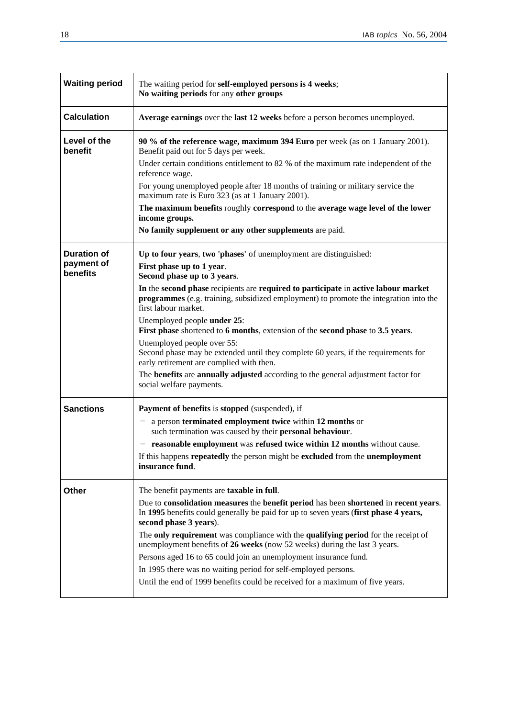| <b>Waiting period</b>                        | The waiting period for self-employed persons is 4 weeks;<br>No waiting periods for any other groups                                                                                                        |
|----------------------------------------------|------------------------------------------------------------------------------------------------------------------------------------------------------------------------------------------------------------|
| <b>Calculation</b>                           | Average earnings over the last 12 weeks before a person becomes unemployed.                                                                                                                                |
| Level of the<br>benefit                      | 90 % of the reference wage, maximum 394 Euro per week (as on 1 January 2001).<br>Benefit paid out for 5 days per week.                                                                                     |
|                                              | Under certain conditions entitlement to 82 % of the maximum rate independent of the<br>reference wage.                                                                                                     |
|                                              | For young unemployed people after 18 months of training or military service the<br>maximum rate is Euro 323 (as at 1 January 2001).                                                                        |
|                                              | The maximum benefits roughly correspond to the average wage level of the lower<br>income groups.                                                                                                           |
|                                              | No family supplement or any other supplements are paid.                                                                                                                                                    |
| <b>Duration of</b><br>payment of<br>benefits | Up to four years, two 'phases' of unemployment are distinguished:<br>First phase up to 1 year.<br>Second phase up to 3 years.                                                                              |
|                                              | In the second phase recipients are required to participate in active labour market<br><b>programmes</b> (e.g. training, subsidized employment) to promote the integration into the<br>first labour market. |
|                                              | Unemployed people under 25:<br>First phase shortened to 6 months, extension of the second phase to 3.5 years.                                                                                              |
|                                              | Unemployed people over 55:<br>Second phase may be extended until they complete 60 years, if the requirements for<br>early retirement are complied with then.                                               |
|                                              | The benefits are annually adjusted according to the general adjustment factor for<br>social welfare payments.                                                                                              |
| <b>Sanctions</b>                             | Payment of benefits is stopped (suspended), if                                                                                                                                                             |
|                                              | a person terminated employment twice within 12 months or<br>such termination was caused by their personal behaviour.                                                                                       |
|                                              | - reasonable employment was refused twice within 12 months without cause.                                                                                                                                  |
|                                              | If this happens repeatedly the person might be excluded from the unemployment<br>insurance fund.                                                                                                           |
| Other                                        | The benefit payments are <b>taxable in full</b> .                                                                                                                                                          |
|                                              | Due to consolidation measures the benefit period has been shortened in recent years.<br>In 1995 benefits could generally be paid for up to seven years (first phase 4 years,<br>second phase 3 years).     |
|                                              | The only requirement was compliance with the qualifying period for the receipt of<br>unemployment benefits of 26 weeks (now 52 weeks) during the last 3 years.                                             |
|                                              | Persons aged 16 to 65 could join an unemployment insurance fund.                                                                                                                                           |
|                                              | In 1995 there was no waiting period for self-employed persons.<br>Until the end of 1999 benefits could be received for a maximum of five years.                                                            |
|                                              |                                                                                                                                                                                                            |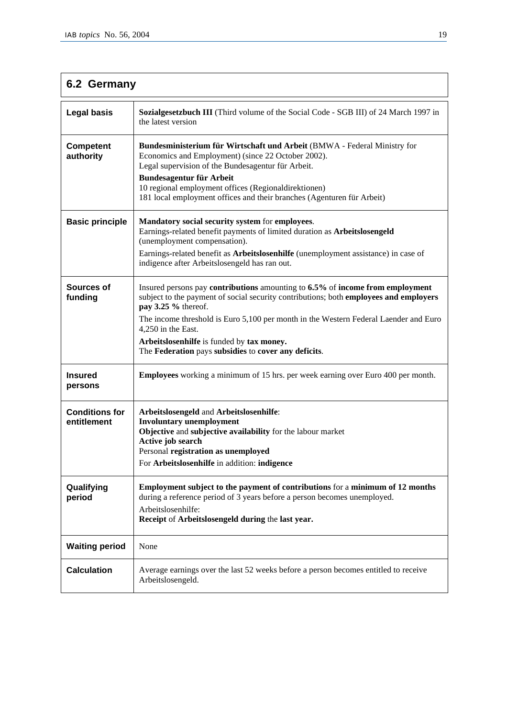| 6.2 Germany                          |                                                                                                                                                                                                                                                                                                                                                                                                                  |  |
|--------------------------------------|------------------------------------------------------------------------------------------------------------------------------------------------------------------------------------------------------------------------------------------------------------------------------------------------------------------------------------------------------------------------------------------------------------------|--|
| <b>Legal basis</b>                   | <b>Sozialgesetzbuch III</b> (Third volume of the Social Code - SGB III) of 24 March 1997 in<br>the latest version                                                                                                                                                                                                                                                                                                |  |
| <b>Competent</b><br>authority        | Bundesministerium für Wirtschaft und Arbeit (BMWA - Federal Ministry for<br>Economics and Employment) (since 22 October 2002).<br>Legal supervision of the Bundesagentur für Arbeit.<br><b>Bundesagentur für Arbeit</b><br>10 regional employment offices (Regionaldirektionen)<br>181 local employment offices and their branches (Agenturen für Arbeit)                                                        |  |
| <b>Basic principle</b>               | Mandatory social security system for employees.<br>Earnings-related benefit payments of limited duration as Arbeitslosengeld<br>(unemployment compensation).<br>Earnings-related benefit as Arbeitslosenhilfe (unemployment assistance) in case of<br>indigence after Arbeitslosengeld has ran out.                                                                                                              |  |
| Sources of<br>funding                | Insured persons pay contributions amounting to 6.5% of income from employment<br>subject to the payment of social security contributions; both employees and employers<br>pay 3.25 % thereof.<br>The income threshold is Euro 5,100 per month in the Western Federal Laender and Euro<br>4,250 in the East.<br>Arbeitslosenhilfe is funded by tax money.<br>The Federation pays subsidies to cover any deficits. |  |
| <b>Insured</b><br>persons            | <b>Employees</b> working a minimum of 15 hrs. per week earning over Euro 400 per month.                                                                                                                                                                                                                                                                                                                          |  |
| <b>Conditions for</b><br>entitlement | Arbeitslosengeld and Arbeitslosenhilfe:<br><b>Involuntary unemployment</b><br>Objective and subjective availability for the labour market<br>Active job search<br>Personal registration as unemployed<br>For Arbeitslosenhilfe in addition: indigence                                                                                                                                                            |  |
| Qualifying<br>period                 | Employment subject to the payment of contributions for a minimum of 12 months<br>during a reference period of 3 years before a person becomes unemployed.<br>Arbeitslosenhilfe:<br>Receipt of Arbeitslosengeld during the last year.                                                                                                                                                                             |  |
| <b>Waiting period</b>                | None                                                                                                                                                                                                                                                                                                                                                                                                             |  |
| <b>Calculation</b>                   | Average earnings over the last 52 weeks before a person becomes entitled to receive<br>Arbeitslosengeld.                                                                                                                                                                                                                                                                                                         |  |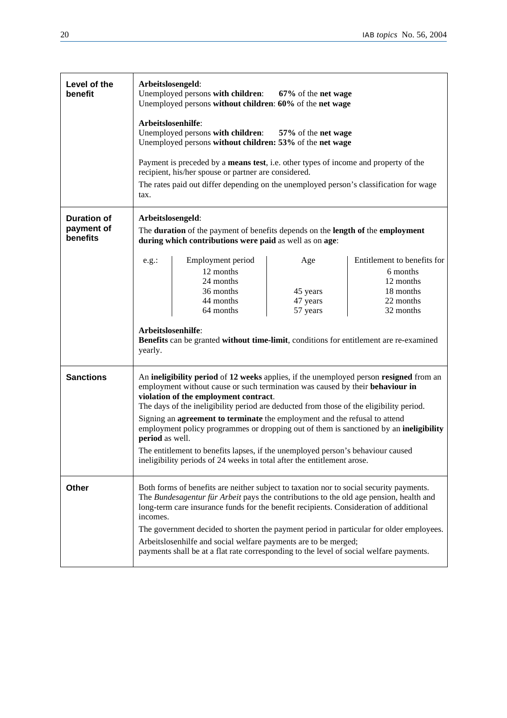| Level of the<br>benefit                      | Arbeitslosengeld:<br>Unemployed persons with children:<br>67% of the net wage<br>Unemployed persons without children: 60% of the net wage                                                                                                                                                                                                                                                                                                                                                                                                                                                                                                                            |                                                                                                                                                                                                                                       |                                         |                                                                                             |
|----------------------------------------------|----------------------------------------------------------------------------------------------------------------------------------------------------------------------------------------------------------------------------------------------------------------------------------------------------------------------------------------------------------------------------------------------------------------------------------------------------------------------------------------------------------------------------------------------------------------------------------------------------------------------------------------------------------------------|---------------------------------------------------------------------------------------------------------------------------------------------------------------------------------------------------------------------------------------|-----------------------------------------|---------------------------------------------------------------------------------------------|
|                                              |                                                                                                                                                                                                                                                                                                                                                                                                                                                                                                                                                                                                                                                                      | Arbeitslosenhilfe:<br>Unemployed persons with children: 57% of the net wage<br>Unemployed persons without children: 53% of the net wage                                                                                               |                                         |                                                                                             |
|                                              | tax.                                                                                                                                                                                                                                                                                                                                                                                                                                                                                                                                                                                                                                                                 | Payment is preceded by a means test, i.e. other types of income and property of the<br>recipient, his/her spouse or partner are considered.<br>The rates paid out differ depending on the unemployed person's classification for wage |                                         |                                                                                             |
| <b>Duration of</b><br>payment of<br>benefits | Arbeitslosengeld:<br>The duration of the payment of benefits depends on the length of the employment<br>during which contributions were paid as well as on age:                                                                                                                                                                                                                                                                                                                                                                                                                                                                                                      |                                                                                                                                                                                                                                       |                                         |                                                                                             |
|                                              | e.g.:<br>Arbeitslosenhilfe:<br>yearly.                                                                                                                                                                                                                                                                                                                                                                                                                                                                                                                                                                                                                               | Employment period<br>12 months<br>24 months<br>36 months<br>44 months<br>64 months<br>Benefits can be granted without time-limit, conditions for entitlement are re-examined                                                          | Age<br>45 years<br>47 years<br>57 years | Entitlement to benefits for<br>6 months<br>12 months<br>18 months<br>22 months<br>32 months |
| <b>Sanctions</b>                             | An ineligibility period of 12 weeks applies, if the unemployed person resigned from an<br>employment without cause or such termination was caused by their behaviour in<br>violation of the employment contract.<br>The days of the ineligibility period are deducted from those of the eligibility period.<br>Signing an agreement to terminate the employment and the refusal to attend<br>employment policy programmes or dropping out of them is sanctioned by an ineligibility<br>period as well.<br>The entitlement to benefits lapses, if the unemployed person's behaviour caused<br>ineligibility periods of 24 weeks in total after the entitlement arose. |                                                                                                                                                                                                                                       |                                         |                                                                                             |
| Other                                        | Both forms of benefits are neither subject to taxation nor to social security payments.<br>The Bundesagentur für Arbeit pays the contributions to the old age pension, health and<br>long-term care insurance funds for the benefit recipients. Consideration of additional<br>incomes.<br>The government decided to shorten the payment period in particular for older employees.<br>Arbeitslosenhilfe and social welfare payments are to be merged;<br>payments shall be at a flat rate corresponding to the level of social welfare payments.                                                                                                                     |                                                                                                                                                                                                                                       |                                         |                                                                                             |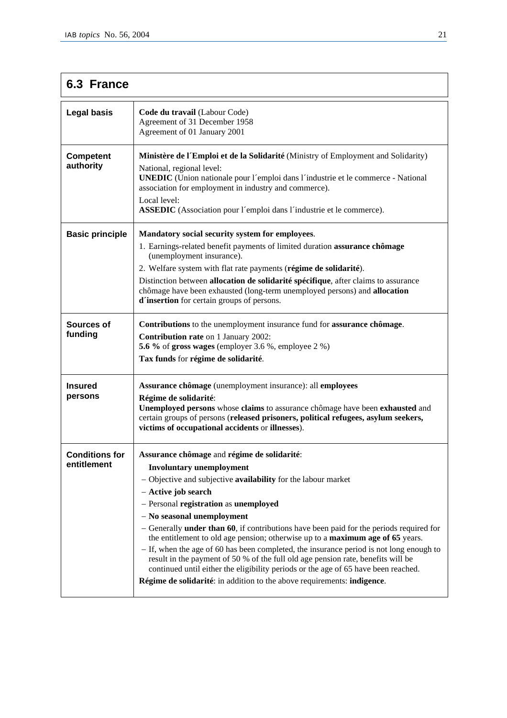# **6.3 France**

| <b>Legal basis</b>                   | Code du travail (Labour Code)<br>Agreement of 31 December 1958<br>Agreement of 01 January 2001                                                                                                                                                                                                                                                                                                                                                                                                                                                                                                                                                                                                                                                                                     |
|--------------------------------------|------------------------------------------------------------------------------------------------------------------------------------------------------------------------------------------------------------------------------------------------------------------------------------------------------------------------------------------------------------------------------------------------------------------------------------------------------------------------------------------------------------------------------------------------------------------------------------------------------------------------------------------------------------------------------------------------------------------------------------------------------------------------------------|
| <b>Competent</b><br>authority        | Ministère de l'Emploi et de la Solidarité (Ministry of Employment and Solidarity)<br>National, regional level:<br><b>UNEDIC</b> (Union nationale pour l'emploi dans l'industrie et le commerce - National<br>association for employment in industry and commerce).<br>Local level:<br><b>ASSEDIC</b> (Association pour l'emploi dans l'industrie et le commerce).                                                                                                                                                                                                                                                                                                                                                                                                                  |
| <b>Basic principle</b>               | Mandatory social security system for employees.<br>1. Earnings-related benefit payments of limited duration assurance chômage<br>(unemployment insurance).<br>2. Welfare system with flat rate payments (régime de solidarité).<br>Distinction between allocation de solidarité spécifique, after claims to assurance<br>chômage have been exhausted (long-term unemployed persons) and allocation<br>d'insertion for certain groups of persons.                                                                                                                                                                                                                                                                                                                                   |
| Sources of<br>funding                | Contributions to the unemployment insurance fund for assurance chômage.<br><b>Contribution rate on 1 January 2002:</b><br>5.6 % of gross wages (employer 3.6 %, employee 2 %)<br>Tax funds for régime de solidarité.                                                                                                                                                                                                                                                                                                                                                                                                                                                                                                                                                               |
| <b>Insured</b><br>persons            | Assurance chômage (unemployment insurance): all employees<br>Régime de solidarité:<br>Unemployed persons whose claims to assurance chômage have been exhausted and<br>certain groups of persons (released prisoners, political refugees, asylum seekers,<br>victims of occupational accidents or illnesses).                                                                                                                                                                                                                                                                                                                                                                                                                                                                       |
| <b>Conditions for</b><br>entitlement | Assurance chômage and régime de solidarité:<br><b>Involuntary unemployment</b><br>- Objective and subjective availability for the labour market<br>- Active job search<br>- Personal registration as unemployed<br>- No seasonal unemployment<br>- Generally <b>under than 60</b> , if contributions have been paid for the periods required for<br>the entitlement to old age pension; otherwise up to a maximum age of 65 years.<br>- If, when the age of 60 has been completed, the insurance period is not long enough to<br>result in the payment of 50 % of the full old age pension rate, benefits will be<br>continued until either the eligibility periods or the age of 65 have been reached.<br>Régime de solidarité: in addition to the above requirements: indigence. |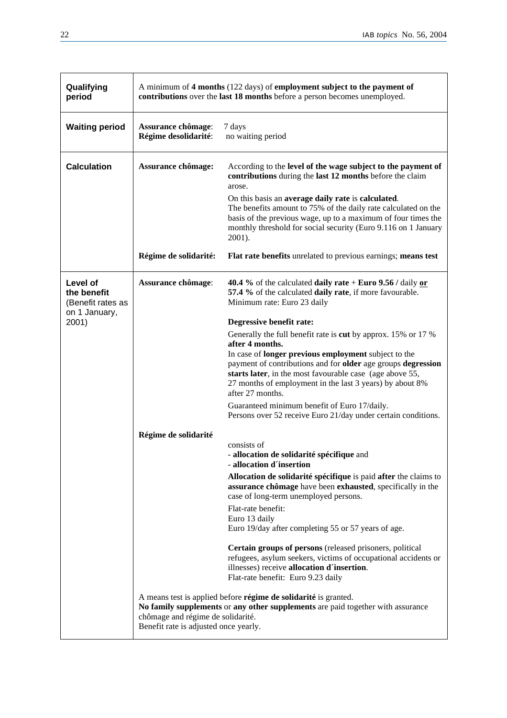| Qualifying<br>period                                                   | A minimum of 4 months (122 days) of employment subject to the payment of<br>contributions over the last 18 months before a person becomes unemployed. |                                                                                                                                                                                                                                                                         |  |
|------------------------------------------------------------------------|-------------------------------------------------------------------------------------------------------------------------------------------------------|-------------------------------------------------------------------------------------------------------------------------------------------------------------------------------------------------------------------------------------------------------------------------|--|
| <b>Waiting period</b>                                                  | Assurance chômage:<br>Régime desolidarité:                                                                                                            | 7 days<br>no waiting period                                                                                                                                                                                                                                             |  |
| <b>Calculation</b>                                                     | Assurance chômage:                                                                                                                                    | According to the level of the wage subject to the payment of<br>contributions during the last 12 months before the claim<br>arose.                                                                                                                                      |  |
|                                                                        |                                                                                                                                                       | On this basis an average daily rate is calculated.<br>The benefits amount to 75% of the daily rate calculated on the<br>basis of the previous wage, up to a maximum of four times the<br>monthly threshold for social security (Euro 9.116 on 1 January<br>2001).       |  |
|                                                                        | Régime de solidarité:                                                                                                                                 | Flat rate benefits unrelated to previous earnings; means test                                                                                                                                                                                                           |  |
| Level of<br>the benefit<br>(Benefit rates as<br>on 1 January,<br>2001) | Assurance chômage:                                                                                                                                    | <b>40.4</b> % of the calculated <b>daily rate</b> + <b>Euro</b> 9.56 / daily or<br>57.4 % of the calculated daily rate, if more favourable.<br>Minimum rate: Euro 23 daily                                                                                              |  |
|                                                                        |                                                                                                                                                       | Degressive benefit rate:                                                                                                                                                                                                                                                |  |
|                                                                        |                                                                                                                                                       | Generally the full benefit rate is cut by approx. 15% or 17 %                                                                                                                                                                                                           |  |
|                                                                        |                                                                                                                                                       | after 4 months.                                                                                                                                                                                                                                                         |  |
|                                                                        |                                                                                                                                                       | In case of <b>longer previous employment</b> subject to the<br>payment of contributions and for older age groups degression<br>starts later, in the most favourable case (age above 55,<br>27 months of employment in the last 3 years) by about 8%<br>after 27 months. |  |
|                                                                        |                                                                                                                                                       | Guaranteed minimum benefit of Euro 17/daily.<br>Persons over 52 receive Euro 21/day under certain conditions.                                                                                                                                                           |  |
|                                                                        | Régime de solidarité                                                                                                                                  | consists of<br>- allocation de solidarité spécifique and<br>- allocation d'insertion                                                                                                                                                                                    |  |
|                                                                        |                                                                                                                                                       | Allocation de solidarité spécifique is paid after the claims to<br>assurance chômage have been exhausted, specifically in the<br>case of long-term unemployed persons.                                                                                                  |  |
|                                                                        |                                                                                                                                                       | Flat-rate benefit:<br>Euro 13 daily<br>Euro 19/day after completing 55 or 57 years of age.                                                                                                                                                                              |  |
|                                                                        |                                                                                                                                                       | Certain groups of persons (released prisoners, political<br>refugees, asylum seekers, victims of occupational accidents or<br>illnesses) receive allocation d'insertion.<br>Flat-rate benefit: Euro 9.23 daily                                                          |  |
|                                                                        | chômage and régime de solidarité.<br>Benefit rate is adjusted once yearly.                                                                            | A means test is applied before régime de solidarité is granted.<br>No family supplements or any other supplements are paid together with assurance                                                                                                                      |  |

 $\sim$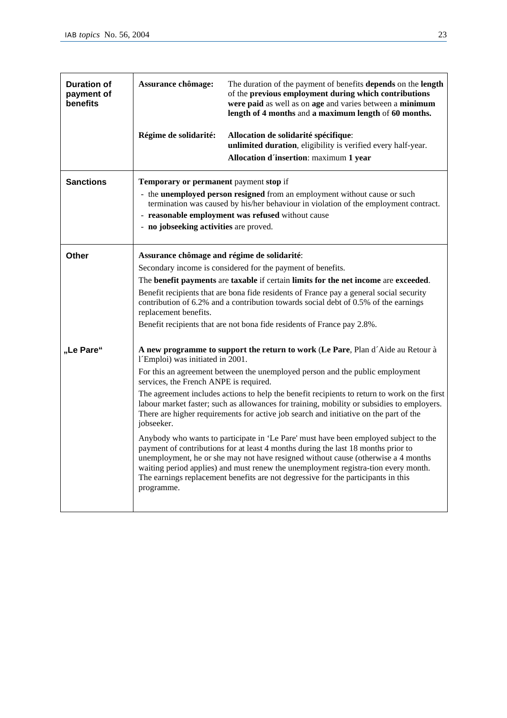| <b>Duration of</b><br>payment of<br>benefits | Assurance chômage:                                                                                     | The duration of the payment of benefits depends on the length<br>of the previous employment during which contributions<br>were paid as well as on age and varies between a minimum<br>length of 4 months and a maximum length of 60 months.                                                                                                                                                                                                                                                                                                                                                                                                                                                                                                                                                                                                                                                          |
|----------------------------------------------|--------------------------------------------------------------------------------------------------------|------------------------------------------------------------------------------------------------------------------------------------------------------------------------------------------------------------------------------------------------------------------------------------------------------------------------------------------------------------------------------------------------------------------------------------------------------------------------------------------------------------------------------------------------------------------------------------------------------------------------------------------------------------------------------------------------------------------------------------------------------------------------------------------------------------------------------------------------------------------------------------------------------|
|                                              | Régime de solidarité:                                                                                  | Allocation de solidarité spécifique:<br>unlimited duration, eligibility is verified every half-year.<br>Allocation d'insertion: maximum 1 year                                                                                                                                                                                                                                                                                                                                                                                                                                                                                                                                                                                                                                                                                                                                                       |
| <b>Sanctions</b>                             | Temporary or permanent payment stop if<br>- no jobseeking activities are proved.                       | - the unemployed person resigned from an employment without cause or such<br>termination was caused by his/her behaviour in violation of the employment contract.<br>- reasonable employment was refused without cause                                                                                                                                                                                                                                                                                                                                                                                                                                                                                                                                                                                                                                                                               |
| Other                                        | Assurance chômage and régime de solidarité:<br>replacement benefits.                                   | Secondary income is considered for the payment of benefits.<br>The benefit payments are taxable if certain limits for the net income are exceeded.<br>Benefit recipients that are bona fide residents of France pay a general social security<br>contribution of 6.2% and a contribution towards social debt of 0.5% of the earnings<br>Benefit recipients that are not bona fide residents of France pay 2.8%.                                                                                                                                                                                                                                                                                                                                                                                                                                                                                      |
| "Le Pare"                                    | 1'Emploi) was initiated in 2001.<br>services, the French ANPE is required.<br>jobseeker.<br>programme. | A new programme to support the return to work (Le Pare, Plan d'Aide au Retour à<br>For this an agreement between the unemployed person and the public employment<br>The agreement includes actions to help the benefit recipients to return to work on the first<br>labour market faster; such as allowances for training, mobility or subsidies to employers.<br>There are higher requirements for active job search and initiative on the part of the<br>Anybody who wants to participate in 'Le Pare' must have been employed subject to the<br>payment of contributions for at least 4 months during the last 18 months prior to<br>unemployment, he or she may not have resigned without cause (otherwise a 4 months<br>waiting period applies) and must renew the unemployment registra-tion every month.<br>The earnings replacement benefits are not degressive for the participants in this |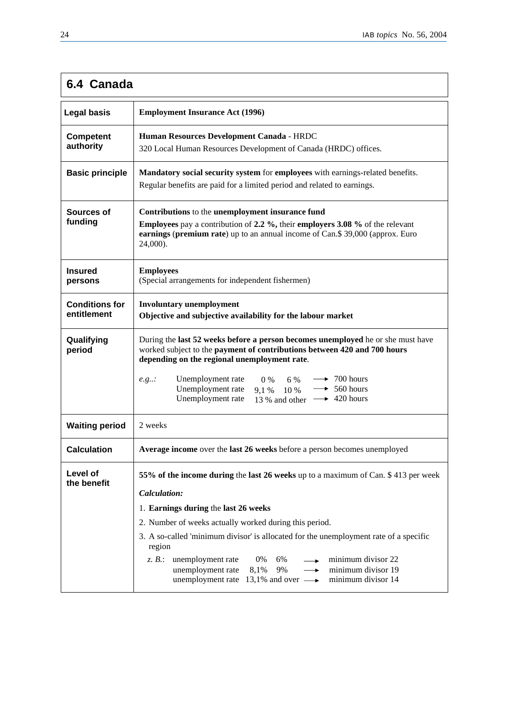# **6.4 Canada**

| <b>Employment Insurance Act (1996)</b>                                                                                                                                                                                                                                                                                                                                                                                                                                                                                                                       |  |
|--------------------------------------------------------------------------------------------------------------------------------------------------------------------------------------------------------------------------------------------------------------------------------------------------------------------------------------------------------------------------------------------------------------------------------------------------------------------------------------------------------------------------------------------------------------|--|
| Human Resources Development Canada - HRDC<br>320 Local Human Resources Development of Canada (HRDC) offices.                                                                                                                                                                                                                                                                                                                                                                                                                                                 |  |
| Mandatory social security system for employees with earnings-related benefits.<br>Regular benefits are paid for a limited period and related to earnings.                                                                                                                                                                                                                                                                                                                                                                                                    |  |
| Contributions to the unemployment insurance fund<br><b>Employees</b> pay a contribution of 2.2 %, their <b>employers 3.08</b> % of the relevant<br>earnings (premium rate) up to an annual income of Can.\$ 39,000 (approx. Euro<br>24,000).                                                                                                                                                                                                                                                                                                                 |  |
| <b>Employees</b><br>(Special arrangements for independent fishermen)                                                                                                                                                                                                                                                                                                                                                                                                                                                                                         |  |
| <b>Involuntary unemployment</b><br>Objective and subjective availability for the labour market                                                                                                                                                                                                                                                                                                                                                                                                                                                               |  |
| During the last 52 weeks before a person becomes unemployed he or she must have<br>worked subject to the payment of contributions between 420 and 700 hours<br>depending on the regional unemployment rate.<br>$\rightarrow$ 700 hours<br>Unemployment rate<br>6 %<br>$0\%$<br>e.g<br>Unemployment rate<br>$\rightarrow$ 560 hours<br>9,1 % 10 %<br>Unemployment rate<br>13 % and other $\longrightarrow$ 420 hours                                                                                                                                          |  |
| 2 weeks                                                                                                                                                                                                                                                                                                                                                                                                                                                                                                                                                      |  |
| Average income over the last 26 weeks before a person becomes unemployed                                                                                                                                                                                                                                                                                                                                                                                                                                                                                     |  |
| 55% of the income during the last 26 weeks up to a maximum of Can. \$413 per week<br>Calculation:<br>1. Earnings during the last 26 weeks<br>2. Number of weeks actually worked during this period.<br>3. A so-called 'minimum divisor' is allocated for the unemployment rate of a specific<br>region<br>unemployment rate<br>minimum divisor 22<br>$z. B$ .:<br>0%<br>6%<br>$\overline{\phantom{0}}$<br>unemployment rate<br>9%<br>minimum divisor 19<br>8,1%<br>$\rightarrow$<br>unemployment rate 13,1% and over $\longrightarrow$<br>minimum divisor 14 |  |
|                                                                                                                                                                                                                                                                                                                                                                                                                                                                                                                                                              |  |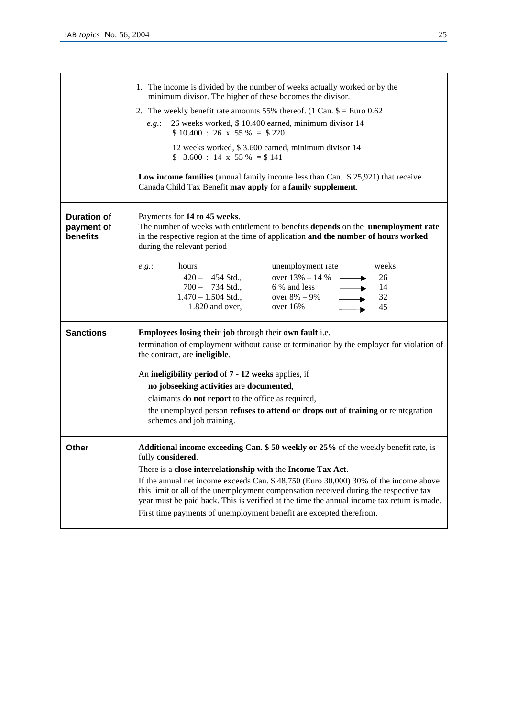|                                              | 1. The income is divided by the number of weeks actually worked or by the<br>minimum divisor. The higher of these becomes the divisor.                                                                                                                                       |  |  |
|----------------------------------------------|------------------------------------------------------------------------------------------------------------------------------------------------------------------------------------------------------------------------------------------------------------------------------|--|--|
|                                              | 2. The weekly benefit rate amounts 55% thereof. (1 Can. $\$ = \text{Euro } 0.62$ )                                                                                                                                                                                           |  |  |
|                                              | 26 weeks worked, \$10.400 earned, minimum divisor 14<br>e.g.:<br>$$10.400 : 26 \times 55\% = $220$                                                                                                                                                                           |  |  |
|                                              | 12 weeks worked, \$3.600 earned, minimum divisor 14<br>$$3.600 : 14 \times 55\% = $141$                                                                                                                                                                                      |  |  |
|                                              | Low income families (annual family income less than Can. \$25,921) that receive<br>Canada Child Tax Benefit may apply for a family supplement.                                                                                                                               |  |  |
| <b>Duration of</b><br>payment of<br>benefits | Payments for 14 to 45 weeks.<br>The number of weeks with entitlement to benefits depends on the unemployment rate<br>in the respective region at the time of application and the number of hours worked<br>during the relevant period                                        |  |  |
|                                              | weeks<br>hours<br>unemployment rate<br>e.g.:<br>$420 - 454$ Std.,<br>over $13\% - 14\%$ —<br>26<br>$700 - 734$ Std.,<br>6 % and less<br>14<br>$\blacktriangleright$<br>$1.470 - 1.504$ Std.,<br>over $8\% - 9\%$<br>32<br>45<br>1.820 and over,<br>over $16%$                |  |  |
| <b>Sanctions</b>                             | <b>Employees losing their job</b> through their own fault i.e.<br>termination of employment without cause or termination by the employer for violation of<br>the contract, are ineligible.                                                                                   |  |  |
|                                              | An ineligibility period of 7 - 12 weeks applies, if                                                                                                                                                                                                                          |  |  |
|                                              | no jobseeking activities are documented,                                                                                                                                                                                                                                     |  |  |
|                                              | - claimants do <b>not report</b> to the office as required,<br>- the unemployed person <b>refuses to attend or drops out</b> of <b>training</b> or reintegration<br>schemes and job training.                                                                                |  |  |
| Other                                        | Additional income exceeding Can. \$50 weekly or 25% of the weekly benefit rate, is<br>fully considered.                                                                                                                                                                      |  |  |
|                                              | There is a close interrelationship with the Income Tax Act.                                                                                                                                                                                                                  |  |  |
|                                              | If the annual net income exceeds Can. $$48,750$ (Euro 30,000) 30% of the income above<br>this limit or all of the unemployment compensation received during the respective tax<br>year must be paid back. This is verified at the time the annual income tax return is made. |  |  |
|                                              | First time payments of unemployment benefit are excepted therefrom.                                                                                                                                                                                                          |  |  |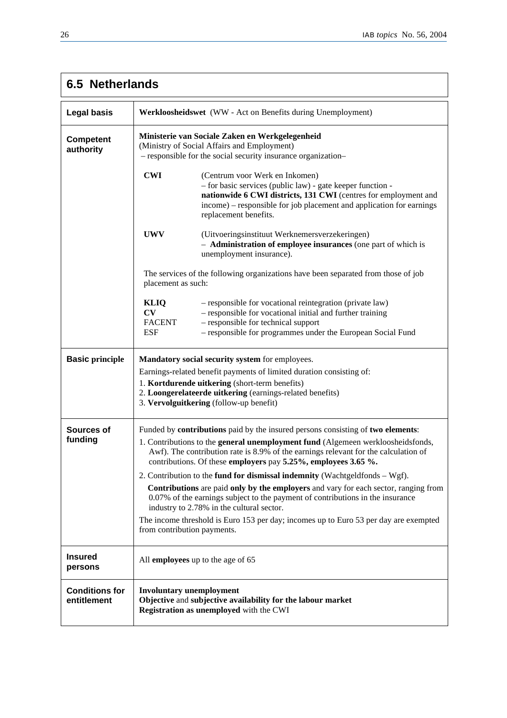# **6.5 Netherlands**

| <b>Legal basis</b>                   | Werkloosheidswet (WW - Act on Benefits during Unemployment)                                                                                                                                                                                                                                                                                                                                                                                                                                                                                                                                                                                                                                                                                                                     |  |
|--------------------------------------|---------------------------------------------------------------------------------------------------------------------------------------------------------------------------------------------------------------------------------------------------------------------------------------------------------------------------------------------------------------------------------------------------------------------------------------------------------------------------------------------------------------------------------------------------------------------------------------------------------------------------------------------------------------------------------------------------------------------------------------------------------------------------------|--|
| <b>Competent</b><br>authority        | Ministerie van Sociale Zaken en Werkgelegenheid<br>(Ministry of Social Affairs and Employment)<br>- responsible for the social security insurance organization-                                                                                                                                                                                                                                                                                                                                                                                                                                                                                                                                                                                                                 |  |
|                                      | <b>CWI</b><br>(Centrum voor Werk en Inkomen)<br>- for basic services (public law) - gate keeper function -<br>nationwide 6 CWI districts, 131 CWI (centres for employment and<br>income) – responsible for job placement and application for earnings<br>replacement benefits.                                                                                                                                                                                                                                                                                                                                                                                                                                                                                                  |  |
|                                      | <b>UWV</b><br>(Uitvoeringsinstituut Werknemersverzekeringen)<br>- Administration of employee insurances (one part of which is<br>unemployment insurance).                                                                                                                                                                                                                                                                                                                                                                                                                                                                                                                                                                                                                       |  |
|                                      | The services of the following organizations have been separated from those of job<br>placement as such:                                                                                                                                                                                                                                                                                                                                                                                                                                                                                                                                                                                                                                                                         |  |
|                                      | <b>KLIQ</b><br>- responsible for vocational reintegration (private law)<br>CV<br>- responsible for vocational initial and further training<br>- responsible for technical support<br><b>FACENT</b><br><b>ESF</b><br>- responsible for programmes under the European Social Fund                                                                                                                                                                                                                                                                                                                                                                                                                                                                                                 |  |
| <b>Basic principle</b>               | Mandatory social security system for employees.<br>Earnings-related benefit payments of limited duration consisting of:<br>1. Kortdurende uitkering (short-term benefits)<br>2. Loongerelateerde uitkering (earnings-related benefits)<br>3. Vervolguitkering (follow-up benefit)                                                                                                                                                                                                                                                                                                                                                                                                                                                                                               |  |
| Sources of<br>funding                | Funded by <b>contributions</b> paid by the insured persons consisting of <b>two elements</b> :<br>1. Contributions to the general unemployment fund (Algemeen werkloosheidsfonds,<br>Awf). The contribution rate is 8.9% of the earnings relevant for the calculation of<br>contributions. Of these employers pay 5.25%, employees 3.65 %.<br>2. Contribution to the fund for dismissal indemnity (Wachtgeldfonds $-\text{Wgf}$ ).<br>Contributions are paid only by the employers and vary for each sector, ranging from<br>0.07% of the earnings subject to the payment of contributions in the insurance<br>industry to 2.78% in the cultural sector.<br>The income threshold is Euro 153 per day; incomes up to Euro 53 per day are exempted<br>from contribution payments. |  |
| <b>Insured</b><br>persons            | All employees up to the age of 65                                                                                                                                                                                                                                                                                                                                                                                                                                                                                                                                                                                                                                                                                                                                               |  |
| <b>Conditions for</b><br>entitlement | <b>Involuntary unemployment</b><br>Objective and subjective availability for the labour market<br>Registration as unemployed with the CWI                                                                                                                                                                                                                                                                                                                                                                                                                                                                                                                                                                                                                                       |  |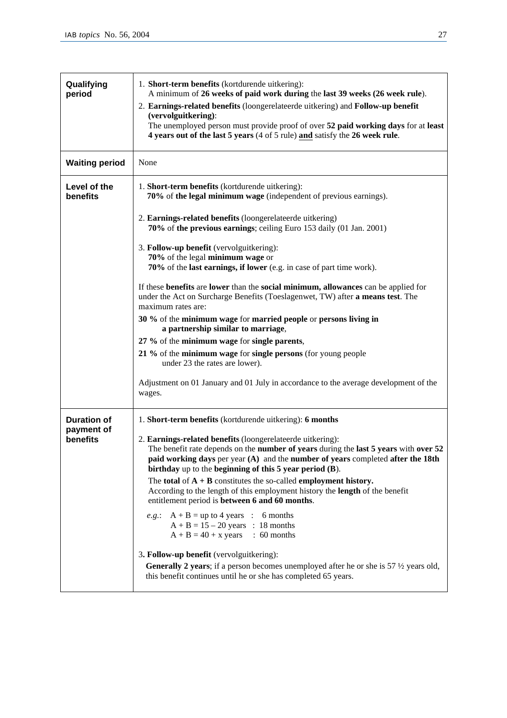| Qualifying<br>period     | 1. Short-term benefits (kortdurende uitkering):<br>A minimum of 26 weeks of paid work during the last 39 weeks (26 week rule).<br>2. Earnings-related benefits (loongerelateerde uitkering) and Follow-up benefit<br>(vervolguitkering):<br>The unemployed person must provide proof of over 52 paid working days for at least<br>4 years out of the last 5 years (4 of 5 rule) and satisfy the 26 week rule.                                          |
|--------------------------|--------------------------------------------------------------------------------------------------------------------------------------------------------------------------------------------------------------------------------------------------------------------------------------------------------------------------------------------------------------------------------------------------------------------------------------------------------|
| <b>Waiting period</b>    | None                                                                                                                                                                                                                                                                                                                                                                                                                                                   |
| Level of the<br>benefits | 1. Short-term benefits (kortdurende uitkering):<br>70% of the legal minimum wage (independent of previous earnings).                                                                                                                                                                                                                                                                                                                                   |
|                          | 2. Earnings-related benefits (loongerelateerde uitkering)<br>70% of the previous earnings; ceiling Euro 153 daily (01 Jan. 2001)                                                                                                                                                                                                                                                                                                                       |
|                          | 3. Follow-up benefit (vervolguitkering):<br>70% of the legal minimum wage or<br>70% of the last earnings, if lower (e.g. in case of part time work).                                                                                                                                                                                                                                                                                                   |
|                          | If these benefits are lower than the social minimum, allowances can be applied for<br>under the Act on Surcharge Benefits (Toeslagenwet, TW) after a means test. The<br>maximum rates are:                                                                                                                                                                                                                                                             |
|                          | 30 % of the minimum wage for married people or persons living in<br>a partnership similar to marriage,                                                                                                                                                                                                                                                                                                                                                 |
|                          | 27 % of the minimum wage for single parents,                                                                                                                                                                                                                                                                                                                                                                                                           |
|                          | 21 % of the minimum wage for single persons (for young people<br>under 23 the rates are lower).                                                                                                                                                                                                                                                                                                                                                        |
|                          | Adjustment on 01 January and 01 July in accordance to the average development of the<br>wages.                                                                                                                                                                                                                                                                                                                                                         |
| <b>Duration of</b>       | 1. Short-term benefits (kortdurende uitkering): 6 months                                                                                                                                                                                                                                                                                                                                                                                               |
| payment of<br>benefits   | 2. Earnings-related benefits (loongerelateerde uitkering):<br>The benefit rate depends on the number of years during the last 5 years with over 52<br>paid working days per year (A) and the number of years completed after the 18th<br>birthday up to the beginning of this 5 year period (B).<br>The total of $A + B$ constitutes the so-called employment history.<br>According to the length of this employment history the length of the benefit |
|                          | entitlement period is between 6 and 60 months.<br><i>e.g.</i> : $A + B = up to 4 years : 6 months$                                                                                                                                                                                                                                                                                                                                                     |
|                          | $A + B = 15 - 20$ years : 18 months<br>$A + B = 40 + x \text{ years}$ : 60 months                                                                                                                                                                                                                                                                                                                                                                      |
|                          | 3. Follow-up benefit (vervolguitkering):<br><b>Generally 2 years</b> ; if a person becomes unemployed after he or she is $57\frac{1}{2}$ years old,<br>this benefit continues until he or she has completed 65 years.                                                                                                                                                                                                                                  |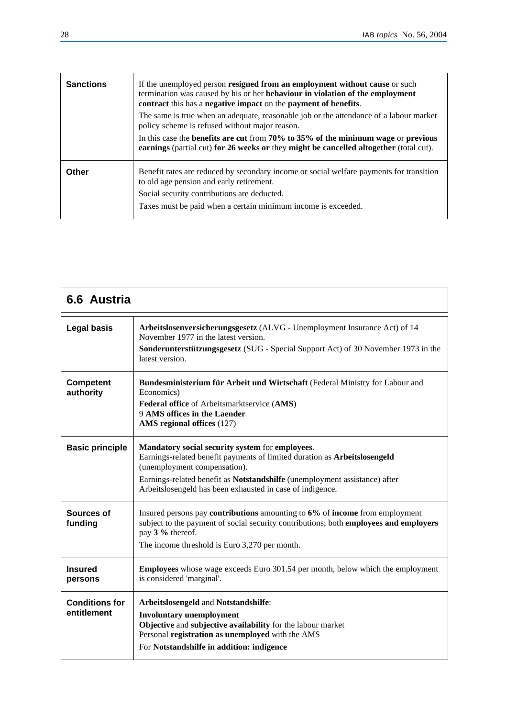| <b>Sanctions</b> | If the unemployed person resigned from an employment without cause or such<br>termination was caused by his or her behaviour in violation of the employment<br>contract this has a negative impact on the payment of benefits. |  |
|------------------|--------------------------------------------------------------------------------------------------------------------------------------------------------------------------------------------------------------------------------|--|
|                  | The same is true when an adequate, reasonable job or the attendance of a labour market<br>policy scheme is refused without major reason.                                                                                       |  |
|                  | In this case the benefits are cut from $70\%$ to $35\%$ of the minimum wage or previous<br>earnings (partial cut) for 26 weeks or they might be cancelled altogether (total cut).                                              |  |
| Other            | Benefit rates are reduced by secondary income or social welfare payments for transition<br>to old age pension and early retirement.<br>Social security contributions are deducted.                                             |  |
|                  | Taxes must be paid when a certain minimum income is exceeded.                                                                                                                                                                  |  |

| 6.6 Austria                          |                                                                                                                                                                                                                                                                                                         |
|--------------------------------------|---------------------------------------------------------------------------------------------------------------------------------------------------------------------------------------------------------------------------------------------------------------------------------------------------------|
| <b>Legal basis</b>                   | Arbeitslosenversicherungsgesetz (ALVG - Unemployment Insurance Act) of 14<br>November 1977 in the latest version.<br>Sonderunterstützungsgesetz (SUG - Special Support Act) of 30 November 1973 in the<br>latest version.                                                                               |
| <b>Competent</b><br>authority        | Bundesministerium für Arbeit und Wirtschaft (Federal Ministry for Labour and<br>Economics)<br>Federal office of Arbeitsmarktservice (AMS)<br>9 AMS offices in the Laender<br>AMS regional offices (127)                                                                                                 |
| <b>Basic principle</b>               | Mandatory social security system for employees.<br>Earnings-related benefit payments of limited duration as Arbeitslosengeld<br>(unemployment compensation).<br>Earnings-related benefit as Notstandshilfe (unemployment assistance) after<br>Arbeitslosengeld has been exhausted in case of indigence. |
| Sources of<br>funding                | Insured persons pay contributions amounting to 6% of income from employment<br>subject to the payment of social security contributions; both employees and employers<br>pay 3 % thereof.<br>The income threshold is Euro 3,270 per month.                                                               |
| <b>Insured</b><br>persons            | <b>Employees</b> whose wage exceeds Euro 301.54 per month, below which the employment<br>is considered 'marginal'.                                                                                                                                                                                      |
| <b>Conditions for</b><br>entitlement | Arbeitslosengeld and Notstandshilfe:<br><b>Involuntary unemployment</b><br>Objective and subjective availability for the labour market<br>Personal registration as unemployed with the AMS<br>For Notstandshilfe in addition: indigence                                                                 |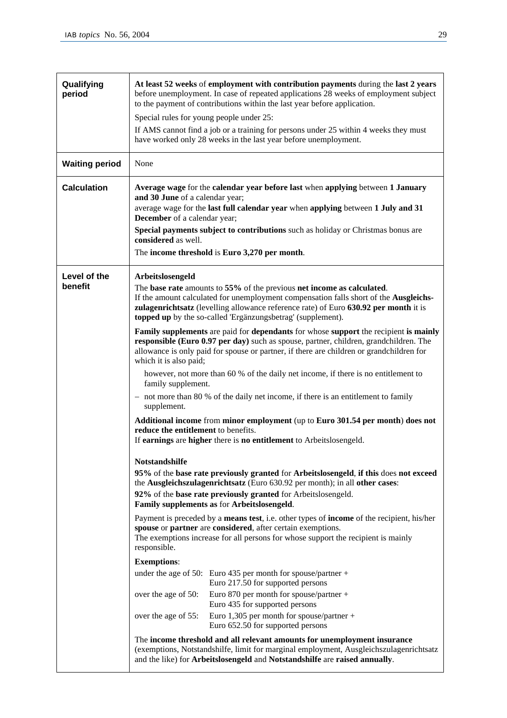| Qualifying<br>period  | At least 52 weeks of employment with contribution payments during the last 2 years<br>before unemployment. In case of repeated applications 28 weeks of employment subject<br>to the payment of contributions within the last year before application.                                                                 |  |
|-----------------------|------------------------------------------------------------------------------------------------------------------------------------------------------------------------------------------------------------------------------------------------------------------------------------------------------------------------|--|
|                       | Special rules for young people under 25:                                                                                                                                                                                                                                                                               |  |
|                       | If AMS cannot find a job or a training for persons under 25 within 4 weeks they must                                                                                                                                                                                                                                   |  |
|                       | have worked only 28 weeks in the last year before unemployment.                                                                                                                                                                                                                                                        |  |
| <b>Waiting period</b> | None                                                                                                                                                                                                                                                                                                                   |  |
| <b>Calculation</b>    | Average wage for the calendar year before last when applying between 1 January<br>and 30 June of a calendar year;                                                                                                                                                                                                      |  |
|                       | average wage for the last full calendar year when applying between 1 July and 31<br>December of a calendar year;                                                                                                                                                                                                       |  |
|                       | Special payments subject to contributions such as holiday or Christmas bonus are<br>considered as well.                                                                                                                                                                                                                |  |
|                       | The income threshold is Euro 3,270 per month.                                                                                                                                                                                                                                                                          |  |
| Level of the          | Arbeitslosengeld                                                                                                                                                                                                                                                                                                       |  |
| benefit               | The base rate amounts to 55% of the previous net income as calculated.<br>If the amount calculated for unemployment compensation falls short of the Ausgleichs-<br>zulagenrichtsatz (levelling allowance reference rate) of Euro 630.92 per month it is<br>topped up by the so-called 'Ergänzungsbetrag' (supplement). |  |
|                       | Family supplements are paid for dependants for whose support the recipient is mainly<br>responsible (Euro 0.97 per day) such as spouse, partner, children, grandchildren. The<br>allowance is only paid for spouse or partner, if there are children or grandchildren for<br>which it is also paid;                    |  |
|                       | however, not more than 60 % of the daily net income, if there is no entitlement to<br>family supplement.                                                                                                                                                                                                               |  |
|                       | - not more than 80 % of the daily net income, if there is an entitlement to family<br>supplement.                                                                                                                                                                                                                      |  |
|                       | Additional income from minor employment (up to Euro 301.54 per month) does not<br>reduce the entitlement to benefits.                                                                                                                                                                                                  |  |
|                       | If earnings are higher there is no entitlement to Arbeitslosengeld.                                                                                                                                                                                                                                                    |  |
|                       | Notstandshilfe<br>95% of the base rate previously granted for Arbeitslosengeld, if this does not exceed<br>the Ausgleichszulagenrichtsatz (Euro 630.92 per month); in all other cases:                                                                                                                                 |  |
|                       | 92% of the base rate previously granted for Arbeitslosengeld.<br>Family supplements as for Arbeitslosengeld.                                                                                                                                                                                                           |  |
|                       | Payment is preceded by a <b>means test</b> , i.e. other types of <b>income</b> of the recipient, his/her<br>spouse or partner are considered, after certain exemptions.<br>The exemptions increase for all persons for whose support the recipient is mainly<br>responsible.                                           |  |
|                       | <b>Exemptions:</b>                                                                                                                                                                                                                                                                                                     |  |
|                       | under the age of 50: Euro 435 per month for spouse/partner +<br>Euro 217.50 for supported persons                                                                                                                                                                                                                      |  |
|                       | Euro 870 per month for spouse/partner +<br>over the age of 50:<br>Euro 435 for supported persons                                                                                                                                                                                                                       |  |
|                       | Euro 1,305 per month for spouse/partner +<br>over the age of 55:<br>Euro 652.50 for supported persons                                                                                                                                                                                                                  |  |
|                       |                                                                                                                                                                                                                                                                                                                        |  |
|                       | The income threshold and all relevant amounts for unemployment insurance<br>(exemptions, Notstandshilfe, limit for marginal employment, Ausgleichszulagenrichtsatz<br>and the like) for Arbeitslosengeld and Notstandshilfe are raised annually.                                                                       |  |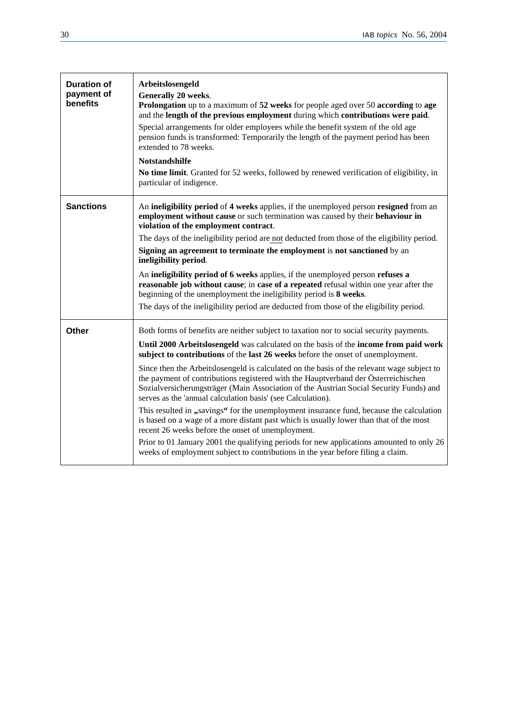| <b>Duration of</b><br>payment of<br>benefits | Arbeitslosengeld<br><b>Generally 20 weeks.</b><br><b>Prolongation</b> up to a maximum of 52 weeks for people aged over 50 according to age<br>and the length of the previous employment during which contributions were paid.<br>Special arrangements for older employees while the benefit system of the old age<br>pension funds is transformed: Temporarily the length of the payment period has been<br>extended to 78 weeks.<br><b>Notstandshilfe</b><br>No time limit. Granted for 52 weeks, followed by renewed verification of eligibility, in<br>particular of indigence. |
|----------------------------------------------|------------------------------------------------------------------------------------------------------------------------------------------------------------------------------------------------------------------------------------------------------------------------------------------------------------------------------------------------------------------------------------------------------------------------------------------------------------------------------------------------------------------------------------------------------------------------------------|
| <b>Sanctions</b>                             | An ineligibility period of 4 weeks applies, if the unemployed person resigned from an<br>employment without cause or such termination was caused by their behaviour in<br>violation of the employment contract.                                                                                                                                                                                                                                                                                                                                                                    |
|                                              | The days of the ineligibility period are not deducted from those of the eligibility period.                                                                                                                                                                                                                                                                                                                                                                                                                                                                                        |
|                                              | Signing an agreement to terminate the employment is not sanctioned by an<br>ineligibility period.                                                                                                                                                                                                                                                                                                                                                                                                                                                                                  |
|                                              | An ineligibility period of 6 weeks applies, if the unemployed person refuses a<br>reasonable job without cause; in case of a repeated refusal within one year after the<br>beginning of the unemployment the ineligibility period is 8 weeks.                                                                                                                                                                                                                                                                                                                                      |
|                                              | The days of the ineligibility period are deducted from those of the eligibility period.                                                                                                                                                                                                                                                                                                                                                                                                                                                                                            |
| <b>Other</b>                                 | Both forms of benefits are neither subject to taxation nor to social security payments.                                                                                                                                                                                                                                                                                                                                                                                                                                                                                            |
|                                              | Until 2000 Arbeitslosengeld was calculated on the basis of the income from paid work<br>subject to contributions of the last 26 weeks before the onset of unemployment.                                                                                                                                                                                                                                                                                                                                                                                                            |
|                                              | Since then the Arbeitslosengeld is calculated on the basis of the relevant wage subject to<br>the payment of contributions registered with the Hauptverband der Österreichischen<br>Sozialversicherungsträger (Main Association of the Austrian Social Security Funds) and<br>serves as the 'annual calculation basis' (see Calculation).                                                                                                                                                                                                                                          |
|                                              | This resulted in "savings" for the unemployment insurance fund, because the calculation<br>is based on a wage of a more distant past which is usually lower than that of the most<br>recent 26 weeks before the onset of unemployment.                                                                                                                                                                                                                                                                                                                                             |
|                                              | Prior to 01 January 2001 the qualifying periods for new applications amounted to only 26<br>weeks of employment subject to contributions in the year before filing a claim.                                                                                                                                                                                                                                                                                                                                                                                                        |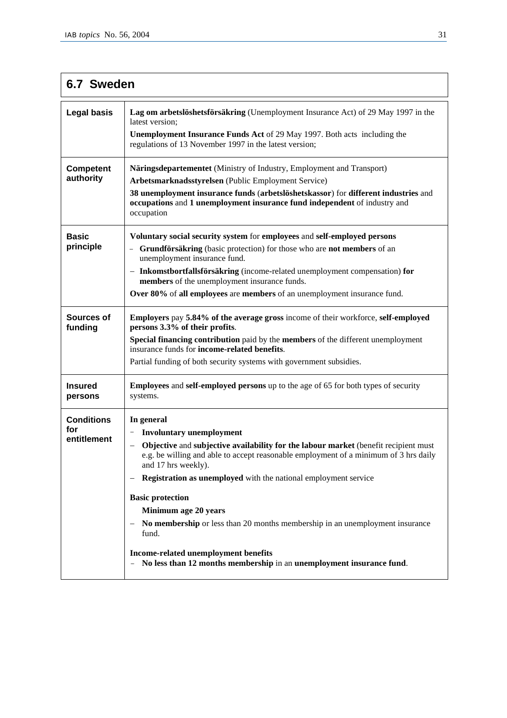| 6.7 Sweden                              |                                                                                                                                                                                                                                                                                                                                                                                                                                                                                                                                                                                                                                                                 |
|-----------------------------------------|-----------------------------------------------------------------------------------------------------------------------------------------------------------------------------------------------------------------------------------------------------------------------------------------------------------------------------------------------------------------------------------------------------------------------------------------------------------------------------------------------------------------------------------------------------------------------------------------------------------------------------------------------------------------|
| <b>Legal basis</b>                      | Lag om arbetslöshetsförsäkring (Unemployment Insurance Act) of 29 May 1997 in the<br>latest version:<br><b>Unemployment Insurance Funds Act of 29 May 1997. Both acts including the</b><br>regulations of 13 November 1997 in the latest version;                                                                                                                                                                                                                                                                                                                                                                                                               |
| <b>Competent</b><br>authority           | Näringsdepartementet (Ministry of Industry, Employment and Transport)<br>Arbetsmarknadsstyrelsen (Public Employment Service)<br>38 unemployment insurance funds (arbetslöshetskassor) for different industries and<br>occupations and 1 unemployment insurance fund independent of industry and<br>occupation                                                                                                                                                                                                                                                                                                                                                   |
| <b>Basic</b><br>principle               | Voluntary social security system for employees and self-employed persons<br>- Grundförsäkring (basic protection) for those who are not members of an<br>unemployment insurance fund.<br>- Inkomstbortfallsförsäkring (income-related unemployment compensation) for<br>members of the unemployment insurance funds.<br>Over 80% of all employees are members of an unemployment insurance fund.                                                                                                                                                                                                                                                                 |
| Sources of<br>funding                   | <b>Employers pay 5.84% of the average gross income of their workforce, self-employed</b><br>persons 3.3% of their profits.<br>Special financing contribution paid by the members of the different unemployment<br>insurance funds for <b>income-related benefits</b> .<br>Partial funding of both security systems with government subsidies.                                                                                                                                                                                                                                                                                                                   |
| <b>Insured</b><br>persons               | <b>Employees and self-employed persons</b> up to the age of 65 for both types of security<br>systems.                                                                                                                                                                                                                                                                                                                                                                                                                                                                                                                                                           |
| <b>Conditions</b><br>for<br>entitlement | In general<br><b>Involuntary unemployment</b><br>Objective and subjective availability for the labour market (benefit recipient must<br>e.g. be willing and able to accept reasonable employment of a minimum of 3 hrs daily<br>and 17 hrs weekly).<br>Registration as unemployed with the national employment service<br>$\qquad \qquad -$<br><b>Basic protection</b><br>Minimum age 20 years<br>No membership or less than 20 months membership in an unemployment insurance<br>$\overline{\phantom{m}}$<br>fund.<br>Income-related unemployment benefits<br>No less than 12 months membership in an unemployment insurance fund.<br>$\overline{\phantom{a}}$ |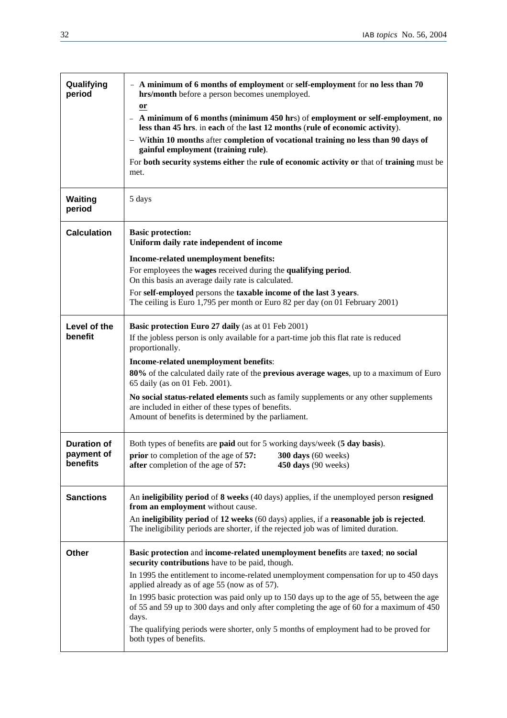$\overline{\phantom{0}}$ 

| Qualifying<br>period     | - A minimum of 6 months of employment or self-employment for no less than 70<br>hrs/month before a person becomes unemployed.                                                                      |  |
|--------------------------|----------------------------------------------------------------------------------------------------------------------------------------------------------------------------------------------------|--|
|                          | <b>or</b><br>A minimum of 6 months (minimum 450 hrs) of employment or self-employment, no<br>less than 45 hrs. in each of the last 12 months (rule of economic activity).                          |  |
|                          | - Within 10 months after completion of vocational training no less than 90 days of<br>gainful employment (training rule).                                                                          |  |
|                          | For both security systems either the rule of economic activity or that of training must be<br>met.                                                                                                 |  |
| <b>Waiting</b><br>period | 5 days                                                                                                                                                                                             |  |
| <b>Calculation</b>       | <b>Basic protection:</b><br>Uniform daily rate independent of income                                                                                                                               |  |
|                          | Income-related unemployment benefits:                                                                                                                                                              |  |
|                          | For employees the wages received during the qualifying period.<br>On this basis an average daily rate is calculated.                                                                               |  |
|                          | For self-employed persons the taxable income of the last 3 years.<br>The ceiling is Euro 1,795 per month or Euro 82 per day (on 01 February 2001)                                                  |  |
| Level of the             | Basic protection Euro 27 daily (as at 01 Feb 2001)                                                                                                                                                 |  |
| benefit                  | If the jobless person is only available for a part-time job this flat rate is reduced<br>proportionally.                                                                                           |  |
|                          | Income-related unemployment benefits:                                                                                                                                                              |  |
|                          | 80% of the calculated daily rate of the previous average wages, up to a maximum of Euro<br>65 daily (as on 01 Feb. 2001).                                                                          |  |
|                          | No social status-related elements such as family supplements or any other supplements<br>are included in either of these types of benefits.<br>Amount of benefits is determined by the parliament. |  |
| <b>Duration of</b>       | Both types of benefits are <b>paid</b> out for 5 working days/week (5 day basis).                                                                                                                  |  |
| payment or               | <b>prior</b> to completion of the age of 57:<br>$300 \text{ days}$ (60 weeks)                                                                                                                      |  |
| benefits                 | after completion of the age of 57:<br>$450$ days (90 weeks)                                                                                                                                        |  |
| <b>Sanctions</b>         | An ineligibility period of 8 weeks (40 days) applies, if the unemployed person resigned<br>from an employment without cause.                                                                       |  |
|                          | An ineligibility period of 12 weeks (60 days) applies, if a reasonable job is rejected.<br>The ineligibility periods are shorter, if the rejected job was of limited duration.                     |  |
| Other                    | Basic protection and income-related unemployment benefits are taxed; no social<br>security contributions have to be paid, though.                                                                  |  |
|                          | In 1995 the entitlement to income-related unemployment compensation for up to 450 days<br>applied already as of age 55 (now as of 57).                                                             |  |
|                          | In 1995 basic protection was paid only up to 150 days up to the age of 55, between the age<br>of 55 and 59 up to 300 days and only after completing the age of 60 for a maximum of 450<br>days.    |  |
|                          | The qualifying periods were shorter, only 5 months of employment had to be proved for<br>both types of benefits.                                                                                   |  |
|                          |                                                                                                                                                                                                    |  |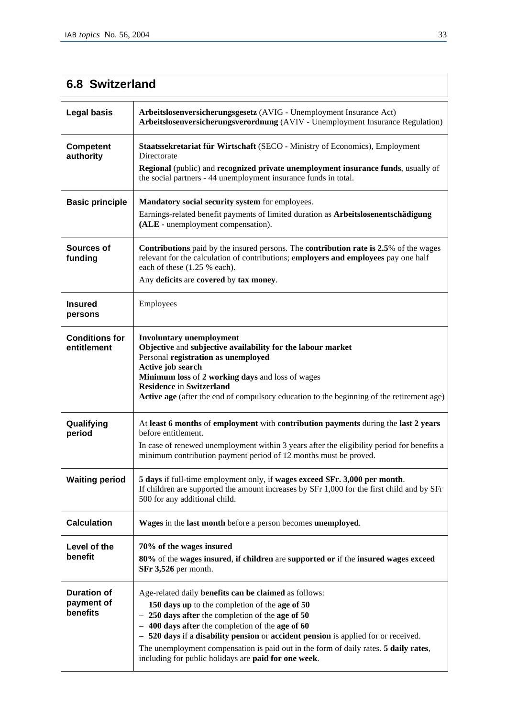# **6.8 Switzerland**

| <b>Legal basis</b>                           | Arbeitslosenversicherungsgesetz (AVIG - Unemployment Insurance Act)<br>Arbeitslosenversicherungsverordnung (AVIV - Unemployment Insurance Regulation)                                                                                                                                                                                                                                                                                                                                            |  |
|----------------------------------------------|--------------------------------------------------------------------------------------------------------------------------------------------------------------------------------------------------------------------------------------------------------------------------------------------------------------------------------------------------------------------------------------------------------------------------------------------------------------------------------------------------|--|
| Competent<br>authority                       | Staatssekretariat für Wirtschaft (SECO - Ministry of Economics), Employment<br>Directorate<br>Regional (public) and recognized private unemployment insurance funds, usually of<br>the social partners - 44 unemployment insurance funds in total.                                                                                                                                                                                                                                               |  |
| <b>Basic principle</b>                       | Mandatory social security system for employees.<br>Earnings-related benefit payments of limited duration as Arbeitslosenentschädigung<br>(ALE - unemployment compensation).                                                                                                                                                                                                                                                                                                                      |  |
| Sources of<br>funding                        | <b>Contributions</b> paid by the insured persons. The <b>contribution rate is 2.5%</b> of the wages<br>relevant for the calculation of contributions; employers and employees pay one half<br>each of these (1.25 % each).<br>Any deficits are covered by tax money.                                                                                                                                                                                                                             |  |
| <b>Insured</b><br>persons                    | Employees                                                                                                                                                                                                                                                                                                                                                                                                                                                                                        |  |
| <b>Conditions for</b><br>entitlement         | <b>Involuntary unemployment</b><br>Objective and subjective availability for the labour market<br>Personal registration as unemployed<br>Active job search<br>Minimum loss of 2 working days and loss of wages<br><b>Residence in Switzerland</b><br><b>Active age</b> (after the end of compulsory education to the beginning of the retirement age)                                                                                                                                            |  |
| Qualifying<br>period                         | At least 6 months of employment with contribution payments during the last 2 years<br>before entitlement.<br>In case of renewed unemployment within 3 years after the eligibility period for benefits a<br>minimum contribution payment period of 12 months must be proved.                                                                                                                                                                                                                      |  |
| <b>Waiting period</b>                        | 5 days if full-time employment only, if wages exceed SFr. 3,000 per month.<br>If children are supported the amount increases by SFr 1,000 for the first child and by SFr<br>500 for any additional child.                                                                                                                                                                                                                                                                                        |  |
| <b>Calculation</b>                           | Wages in the last month before a person becomes unemployed.                                                                                                                                                                                                                                                                                                                                                                                                                                      |  |
| Level of the<br>benefit                      | 70% of the wages insured<br>80% of the wages insured, if children are supported or if the insured wages exceed<br>SFr 3,526 per month.                                                                                                                                                                                                                                                                                                                                                           |  |
| <b>Duration of</b><br>payment of<br>benefits | Age-related daily benefits can be claimed as follows:<br>150 days up to the completion of the age of 50<br>250 days after the completion of the age of 50<br>$\qquad \qquad -$<br>400 days after the completion of the age of 60<br>$\overline{\phantom{0}}$<br>520 days if a disability pension or accident pension is applied for or received.<br>The unemployment compensation is paid out in the form of daily rates. 5 daily rates,<br>including for public holidays are paid for one week. |  |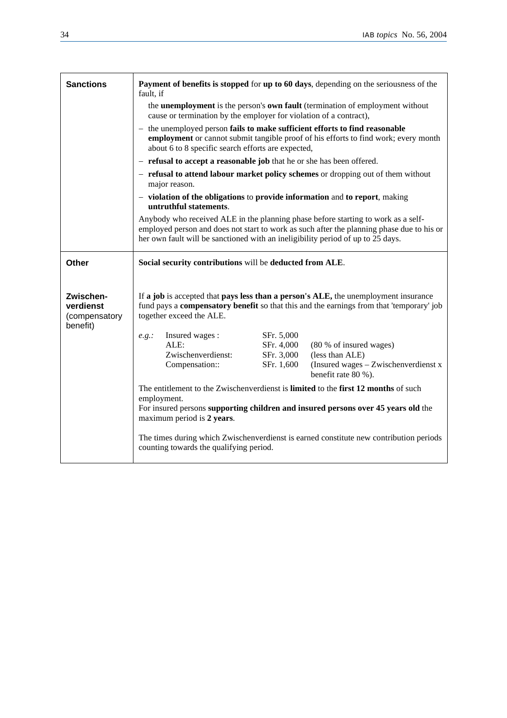| <b>Sanctions</b>                                    | Payment of benefits is stopped for up to 60 days, depending on the seriousness of the<br>fault, if                                                                                                                                                                                                                                                                                                                                          |  |  |
|-----------------------------------------------------|---------------------------------------------------------------------------------------------------------------------------------------------------------------------------------------------------------------------------------------------------------------------------------------------------------------------------------------------------------------------------------------------------------------------------------------------|--|--|
|                                                     | the <b>unemployment</b> is the person's <b>own fault</b> (termination of employment without<br>cause or termination by the employer for violation of a contract),                                                                                                                                                                                                                                                                           |  |  |
|                                                     | - the unemployed person fails to make sufficient efforts to find reasonable<br><b>employment</b> or cannot submit tangible proof of his efforts to find work; every month<br>about 6 to 8 specific search efforts are expected,                                                                                                                                                                                                             |  |  |
|                                                     | - refusal to accept a reasonable job that he or she has been offered.                                                                                                                                                                                                                                                                                                                                                                       |  |  |
|                                                     | - refusal to attend labour market policy schemes or dropping out of them without<br>major reason.                                                                                                                                                                                                                                                                                                                                           |  |  |
|                                                     | - violation of the obligations to provide information and to report, making<br>untruthful statements.                                                                                                                                                                                                                                                                                                                                       |  |  |
|                                                     | Anybody who received ALE in the planning phase before starting to work as a self-<br>employed person and does not start to work as such after the planning phase due to his or<br>her own fault will be sanctioned with an ineligibility period of up to 25 days.                                                                                                                                                                           |  |  |
| Other                                               | Social security contributions will be deducted from ALE.                                                                                                                                                                                                                                                                                                                                                                                    |  |  |
| Zwischen-<br>verdienst<br>(compensatory<br>benefit) | If a job is accepted that pays less than a person's ALE, the unemployment insurance<br>fund pays a <b>compensatory benefit</b> so that this and the earnings from that 'temporary' job<br>together exceed the ALE.<br>SFr. 5,000<br>Insured wages:<br>e.g.:<br>ALE:<br>SFr. 4,000<br>(80 % of insured wages)<br>Zwischenverdienst:<br>(less than ALE)<br>SFr. 3,000<br>SFr. 1,600<br>(Insured wages - Zwischenverdienst x<br>Compensation:: |  |  |
|                                                     | benefit rate 80 %).                                                                                                                                                                                                                                                                                                                                                                                                                         |  |  |
|                                                     | The entitlement to the Zwischenverdienst is limited to the first 12 months of such                                                                                                                                                                                                                                                                                                                                                          |  |  |
|                                                     | employment.<br>For insured persons supporting children and insured persons over 45 years old the<br>maximum period is 2 years.                                                                                                                                                                                                                                                                                                              |  |  |
|                                                     |                                                                                                                                                                                                                                                                                                                                                                                                                                             |  |  |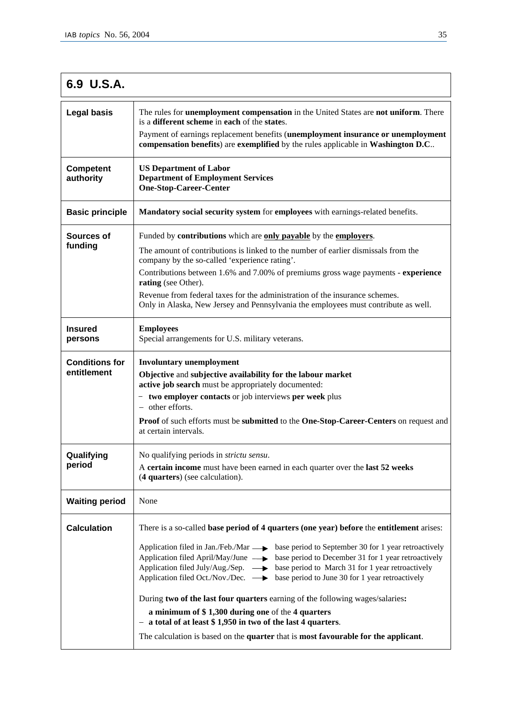| 6.9 U.S.A.                           |                                                                                                                                                                                                                                                                                                                                                                                                                                                                                                                                                                                                                                                                                                                                                                                                                                 |
|--------------------------------------|---------------------------------------------------------------------------------------------------------------------------------------------------------------------------------------------------------------------------------------------------------------------------------------------------------------------------------------------------------------------------------------------------------------------------------------------------------------------------------------------------------------------------------------------------------------------------------------------------------------------------------------------------------------------------------------------------------------------------------------------------------------------------------------------------------------------------------|
| <b>Legal basis</b>                   | The rules for <b>unemployment compensation</b> in the United States are not uniform. There<br>is a different scheme in each of the states.<br>Payment of earnings replacement benefits (unemployment insurance or unemployment<br>compensation benefits) are exemplified by the rules applicable in Washington D.C                                                                                                                                                                                                                                                                                                                                                                                                                                                                                                              |
| <b>Competent</b><br>authority        | <b>US Department of Labor</b><br><b>Department of Employment Services</b><br><b>One-Stop-Career-Center</b>                                                                                                                                                                                                                                                                                                                                                                                                                                                                                                                                                                                                                                                                                                                      |
| <b>Basic principle</b>               | Mandatory social security system for employees with earnings-related benefits.                                                                                                                                                                                                                                                                                                                                                                                                                                                                                                                                                                                                                                                                                                                                                  |
| Sources of<br>funding                | Funded by contributions which are only payable by the employers.<br>The amount of contributions is linked to the number of earlier dismissals from the<br>company by the so-called 'experience rating'.<br>Contributions between 1.6% and 7.00% of premiums gross wage payments - experience<br>rating (see Other).<br>Revenue from federal taxes for the administration of the insurance schemes.<br>Only in Alaska, New Jersey and Pennsylvania the employees must contribute as well.                                                                                                                                                                                                                                                                                                                                        |
| <b>Insured</b><br>persons            | <b>Employees</b><br>Special arrangements for U.S. military veterans.                                                                                                                                                                                                                                                                                                                                                                                                                                                                                                                                                                                                                                                                                                                                                            |
| <b>Conditions for</b><br>entitlement | <b>Involuntary unemployment</b><br>Objective and subjective availability for the labour market<br>active job search must be appropriately documented:<br>- two employer contacts or job interviews per week plus<br>- other efforts.<br><b>Proof</b> of such efforts must be <b>submitted</b> to the <b>One-Stop-Career-Centers</b> on request and<br>at certain intervals.                                                                                                                                                                                                                                                                                                                                                                                                                                                     |
| Qualifying<br>period                 | No qualifying periods in <i>strictu sensu</i> .<br>A certain income must have been earned in each quarter over the last 52 weeks<br>(4 quarters) (see calculation).                                                                                                                                                                                                                                                                                                                                                                                                                                                                                                                                                                                                                                                             |
| <b>Waiting period</b>                | None                                                                                                                                                                                                                                                                                                                                                                                                                                                                                                                                                                                                                                                                                                                                                                                                                            |
| <b>Calculation</b>                   | There is a so-called <b>base period of 4 quarters (one year) before</b> the <b>entitlement</b> arises:<br>Application filed in Jan./Feb./Mar  ightarrow base period to September 30 for 1 year retroactively<br>Application filed April/May/June $\longrightarrow$ base period to December 31 for 1 year retroactively<br>Application filed July/Aug./Sep. $\longrightarrow$ base period to March 31 for 1 year retroactively<br>Application filed Oct./Nov./Dec. $\longrightarrow$ base period to June 30 for 1 year retroactively<br>During two of the last four quarters earning of the following wages/salaries:<br>a minimum of \$1,300 during one of the 4 quarters<br>- a total of at least \$1,950 in two of the last 4 quarters.<br>The calculation is based on the quarter that is most favourable for the applicant. |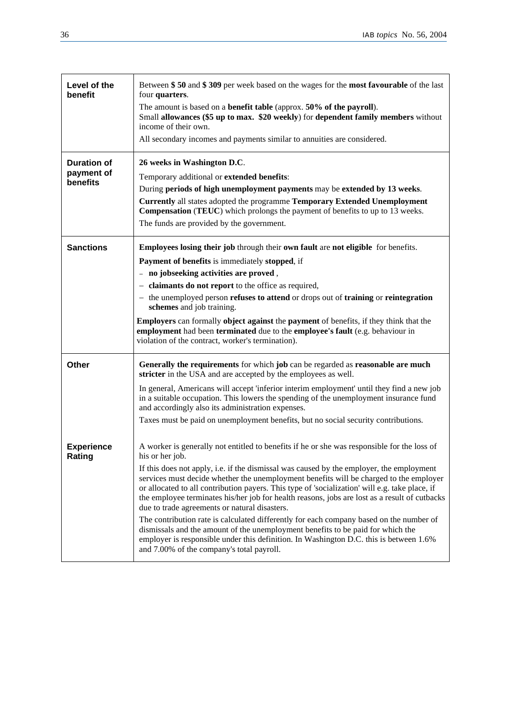| Level of the<br>benefit                      | Between \$50 and \$309 per week based on the wages for the most favourable of the last<br>four quarters.<br>The amount is based on a benefit table (approx. 50% of the payroll).<br>Small allowances (\$5 up to max. \$20 weekly) for dependent family members without<br>income of their own.<br>All secondary incomes and payments similar to annuities are considered.                                                                                                                                                                                                                                                                                                                                                                                                                                                                                                     |  |
|----------------------------------------------|-------------------------------------------------------------------------------------------------------------------------------------------------------------------------------------------------------------------------------------------------------------------------------------------------------------------------------------------------------------------------------------------------------------------------------------------------------------------------------------------------------------------------------------------------------------------------------------------------------------------------------------------------------------------------------------------------------------------------------------------------------------------------------------------------------------------------------------------------------------------------------|--|
| <b>Duration of</b><br>payment of<br>benefits | 26 weeks in Washington D.C.<br>Temporary additional or extended benefits:<br>During periods of high unemployment payments may be extended by 13 weeks.<br><b>Currently all states adopted the programme Temporary Extended Unemployment</b><br><b>Compensation (TEUC)</b> which prolongs the payment of benefits to up to 13 weeks.<br>The funds are provided by the government.                                                                                                                                                                                                                                                                                                                                                                                                                                                                                              |  |
| <b>Sanctions</b>                             | Employees losing their job through their own fault are not eligible for benefits.<br>Payment of benefits is immediately stopped, if<br>- no jobseeking activities are proved,<br>- claimants do not report to the office as required,<br>- the unemployed person <b>refuses to attend</b> or drops out of <b>training</b> or <b>reintegration</b><br>schemes and job training.<br><b>Employers</b> can formally <b>object against</b> the <b>payment</b> of benefits, if they think that the<br>employment had been terminated due to the employee's fault (e.g. behaviour in<br>violation of the contract, worker's termination).                                                                                                                                                                                                                                            |  |
| Other                                        | Generally the requirements for which job can be regarded as reasonable are much<br>stricter in the USA and are accepted by the employees as well.<br>In general, Americans will accept 'inferior interim employment' until they find a new job<br>in a suitable occupation. This lowers the spending of the unemployment insurance fund<br>and accordingly also its administration expenses.<br>Taxes must be paid on unemployment benefits, but no social security contributions.                                                                                                                                                                                                                                                                                                                                                                                            |  |
| <b>Experience</b><br>Rating                  | A worker is generally not entitled to benefits if he or she was responsible for the loss of<br>his or her job.<br>If this does not apply, i.e. if the dismissal was caused by the employer, the employment<br>services must decide whether the unemployment benefits will be charged to the employer<br>or allocated to all contribution payers. This type of 'socialization' will e.g. take place, if<br>the employee terminates his/her job for health reasons, jobs are lost as a result of cutbacks<br>due to trade agreements or natural disasters.<br>The contribution rate is calculated differently for each company based on the number of<br>dismissals and the amount of the unemployment benefits to be paid for which the<br>employer is responsible under this definition. In Washington D.C. this is between 1.6%<br>and 7.00% of the company's total payroll. |  |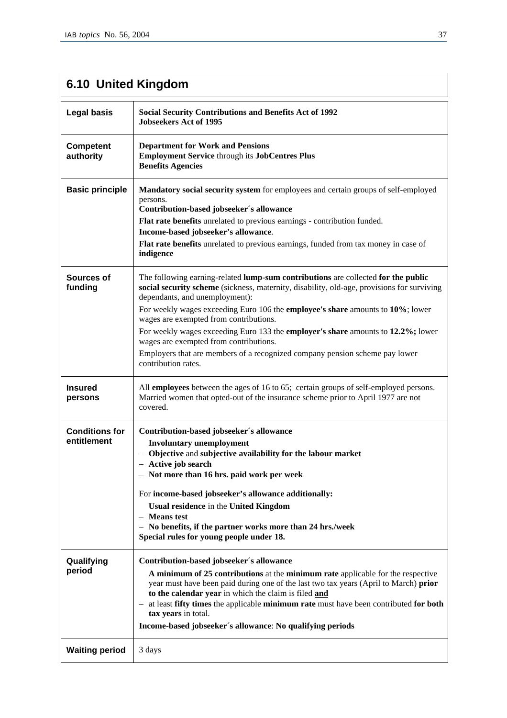# **6.10 United Kingdom**

| <b>Legal basis</b>                   | <b>Social Security Contributions and Benefits Act of 1992</b><br><b>Jobseekers Act of 1995</b>                                                                                                                                                                                                                                                                                                                                                                                                                                                                                    |
|--------------------------------------|-----------------------------------------------------------------------------------------------------------------------------------------------------------------------------------------------------------------------------------------------------------------------------------------------------------------------------------------------------------------------------------------------------------------------------------------------------------------------------------------------------------------------------------------------------------------------------------|
| <b>Competent</b><br>authority        | <b>Department for Work and Pensions</b><br><b>Employment Service through its JobCentres Plus</b><br><b>Benefits Agencies</b>                                                                                                                                                                                                                                                                                                                                                                                                                                                      |
| <b>Basic principle</b>               | Mandatory social security system for employees and certain groups of self-employed<br>persons.<br>Contribution-based jobseeker's allowance<br>Flat rate benefits unrelated to previous earnings - contribution funded.<br>Income-based jobseeker's allowance.<br>Flat rate benefits unrelated to previous earnings, funded from tax money in case of<br>indigence                                                                                                                                                                                                                 |
| Sources of<br>funding                | The following earning-related lump-sum contributions are collected for the public<br>social security scheme (sickness, maternity, disability, old-age, provisions for surviving<br>dependants, and unemployment):<br>For weekly wages exceeding Euro 106 the employee's share amounts to 10%; lower<br>wages are exempted from contributions.<br>For weekly wages exceeding Euro 133 the employer's share amounts to 12.2%; lower<br>wages are exempted from contributions.<br>Employers that are members of a recognized company pension scheme pay lower<br>contribution rates. |
| <b>Insured</b><br>persons            | All employees between the ages of 16 to 65; certain groups of self-employed persons.<br>Married women that opted-out of the insurance scheme prior to April 1977 are not<br>covered.                                                                                                                                                                                                                                                                                                                                                                                              |
| <b>Conditions for</b><br>entitlement | Contribution-based jobseeker's allowance<br><b>Involuntary unemployment</b><br>- Objective and subjective availability for the labour market<br>- Active job search<br>- Not more than 16 hrs. paid work per week<br>For income-based jobseeker's allowance additionally:<br>Usual residence in the United Kingdom<br>- Means test<br>- No benefits, if the partner works more than 24 hrs./week<br>Special rules for young people under 18.                                                                                                                                      |
| Qualifying<br>period                 | Contribution-based jobseeker's allowance<br>A minimum of 25 contributions at the minimum rate applicable for the respective<br>year must have been paid during one of the last two tax years (April to March) prior<br>to the calendar year in which the claim is filed and<br>at least fifty times the applicable minimum rate must have been contributed for both<br>$\overline{\phantom{m}}$<br>tax years in total.<br>Income-based jobseeker's allowance: No qualifying periods                                                                                               |
| <b>Waiting period</b>                | 3 days                                                                                                                                                                                                                                                                                                                                                                                                                                                                                                                                                                            |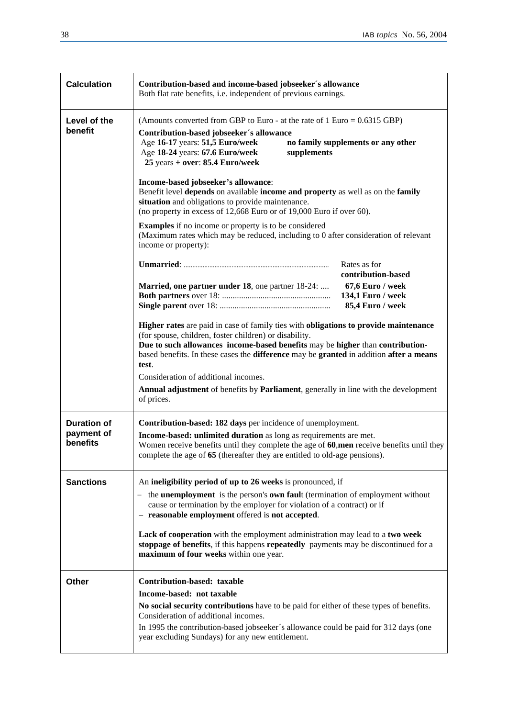| <b>Calculation</b>                           | Contribution-based and income-based jobseeker's allowance<br>Both flat rate benefits, i.e. independent of previous earnings.                                                                                                                                                                                                                                                                                                                                                                                                                                                                                                                                                                                               |                                                                                                 |
|----------------------------------------------|----------------------------------------------------------------------------------------------------------------------------------------------------------------------------------------------------------------------------------------------------------------------------------------------------------------------------------------------------------------------------------------------------------------------------------------------------------------------------------------------------------------------------------------------------------------------------------------------------------------------------------------------------------------------------------------------------------------------------|-------------------------------------------------------------------------------------------------|
| Level of the<br>benefit                      | (Amounts converted from GBP to Euro - at the rate of $1 \text{ Euro} = 0.6315 \text{ GBP}$ )<br>Contribution-based jobseeker's allowance<br>Age 16-17 years: 51,5 Euro/week<br>no family supplements or any other<br>Age 18-24 years: 67.6 Euro/week<br>supplements<br>$25$ years + over: 85.4 Euro/week<br>Income-based jobseeker's allowance:<br>Benefit level depends on available income and property as well as on the family<br>situation and obligations to provide maintenance.<br>(no property in excess of $12,668$ Euro or of $19,000$ Euro if over 60).<br><b>Examples</b> if no income or property is to be considered<br>(Maximum rates which may be reduced, including to 0 after consideration of relevant |                                                                                                 |
|                                              | income or property):<br>Married, one partner under 18, one partner 18-24:                                                                                                                                                                                                                                                                                                                                                                                                                                                                                                                                                                                                                                                  | Rates as for<br>contribution-based<br>67,6 Euro / week<br>134,1 Euro / week<br>85,4 Euro / week |
|                                              | Higher rates are paid in case of family ties with obligations to provide maintenance<br>(for spouse, children, foster children) or disability.<br>Due to such allowances income-based benefits may be higher than contribution-<br>based benefits. In these cases the difference may be granted in addition after a means<br>test.<br>Consideration of additional incomes.<br><b>Annual adjustment</b> of benefits by <b>Parliament</b> , generally in line with the development<br>of prices.                                                                                                                                                                                                                             |                                                                                                 |
| <b>Duration of</b><br>payment of<br>benefits | Contribution-based: 182 days per incidence of unemployment.<br>Income-based: unlimited duration as long as requirements are met.<br>Women receive benefits until they complete the age of 60, men receive benefits until they<br>complete the age of 65 (thereafter they are entitled to old-age pensions).                                                                                                                                                                                                                                                                                                                                                                                                                |                                                                                                 |
| <b>Sanctions</b>                             | An ineligibility period of up to 26 weeks is pronounced, if<br>the <b>unemployment</b> is the person's <b>own fault</b> (termination of employment without<br>$-$<br>cause or termination by the employer for violation of a contract) or if<br>- reasonable employment offered is not accepted.<br>Lack of cooperation with the employment administration may lead to a two week<br>stoppage of benefits, if this happens repeatedly payments may be discontinued for a<br>maximum of four weeks within one year.                                                                                                                                                                                                         |                                                                                                 |
| Other                                        | Contribution-based: taxable<br>Income-based: not taxable<br>No social security contributions have to be paid for either of these types of benefits.<br>Consideration of additional incomes.<br>In 1995 the contribution-based jobseeker's allowance could be paid for 312 days (one<br>year excluding Sundays) for any new entitlement.                                                                                                                                                                                                                                                                                                                                                                                    |                                                                                                 |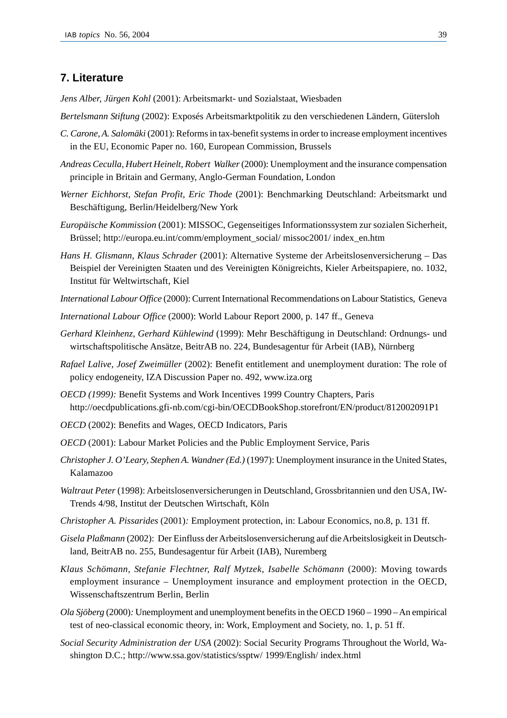## **7. Literature**

*Jens Alber, Jürgen Kohl* (2001): Arbeitsmarkt- und Sozialstaat, Wiesbaden

- *Bertelsmann Stiftung* (2002): Exposés Arbeitsmarktpolitik zu den verschiedenen Ländern, Gütersloh
- *C. Carone, A. Salomäki* (2001): Reforms in tax-benefit systems in order to increase employment incentives in the EU, Economic Paper no. 160, European Commission, Brussels
- *Andreas Ceculla, Hubert Heinelt, Robert Walker* (2000): Unemployment and the insurance compensation principle in Britain and Germany, Anglo-German Foundation, London
- *Werner Eichhorst, Stefan Profit, Eric Thode* (2001): Benchmarking Deutschland: Arbeitsmarkt und Beschäftigung, Berlin/Heidelberg/New York
- *Europäische Kommission* (2001): MISSOC, Gegenseitiges Informationssystem zur sozialen Sicherheit, Brüssel; http://europa.eu.int/comm/employment\_social/ missoc2001/ index\_en.htm
- *Hans H. Glismann, Klaus Schrader* (2001): Alternative Systeme der Arbeitslosenversicherung Das Beispiel der Vereinigten Staaten und des Vereinigten Königreichts, Kieler Arbeitspapiere, no. 1032, Institut für Weltwirtschaft, Kiel
- *International Labour Office* (2000): Current International Recommendations on Labour Statistics, Geneva
- *International Labour Office* (2000): World Labour Report 2000, p. 147 ff., Geneva
- *Gerhard Kleinhenz, Gerhard Kühlewind* (1999): Mehr Beschäftigung in Deutschland: Ordnungs- und wirtschaftspolitische Ansätze, BeitrAB no. 224, Bundesagentur für Arbeit (IAB), Nürnberg
- *Rafael Lalive, Josef Zweimüller* (2002): Benefit entitlement and unemployment duration: The role of policy endogeneity, IZA Discussion Paper no. 492, www.iza.org
- *OECD (1999):* Benefit Systems and Work Incentives 1999 Country Chapters, Paris http://oecdpublications.gfi-nb.com/cgi-bin/OECDBookShop.storefront/EN/product/812002091P1
- *OECD* (2002): Benefits and Wages, OECD Indicators, Paris
- *OECD* (2001): Labour Market Policies and the Public Employment Service, Paris
- *Christopher J. O'Leary, Stephen A. Wandner (Ed.)* (1997): Unemployment insurance in the United States, Kalamazoo
- *Waltraut Peter* (1998): Arbeitslosenversicherungen in Deutschland, Grossbritannien und den USA, IW-Trends 4/98, Institut der Deutschen Wirtschaft, Köln
- *Christopher A. Pissarides* (2001)*:* Employment protection, in: Labour Economics, no.8, p. 131 ff.
- *Gisela Plaßmann* (2002): Der Einfluss der Arbeitslosenversicherung auf die Arbeitslosigkeit in Deutschland, BeitrAB no. 255, Bundesagentur für Arbeit (IAB), Nuremberg
- *Klaus Schömann, Stefanie Flechtner, Ralf Mytzek, Isabelle Schömann* (2000): Moving towards employment insurance – Unemployment insurance and employment protection in the OECD, Wissenschaftszentrum Berlin, Berlin
- *Ola Sjöberg* (2000)*:* Unemployment and unemployment benefits in the OECD 1960 1990 An empirical test of neo-classical economic theory, in: Work, Employment and Society, no. 1, p. 51 ff.
- *Social Security Administration der USA* (2002): Social Security Programs Throughout the World, Washington D.C.; http://www.ssa.gov/statistics/ssptw/ 1999/English/ index.html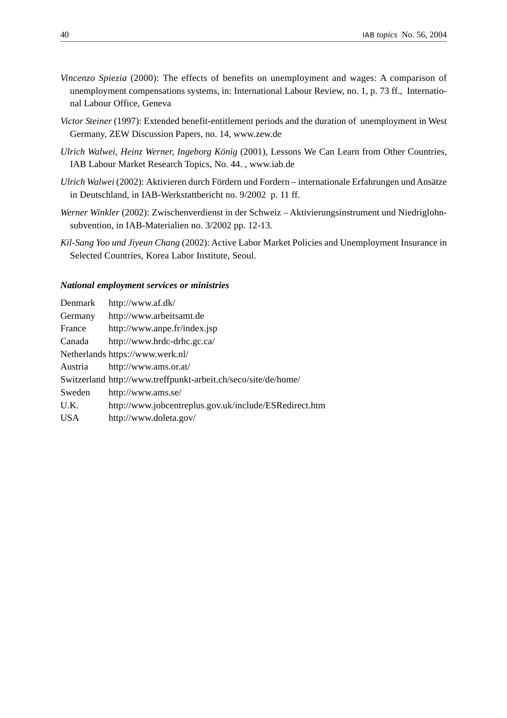- *Vincenzo Spiezia* (2000): The effects of benefits on unemployment and wages: A comparison of unemployment compensations systems, in: International Labour Review, no. 1, p. 73 ff., International Labour Office, Geneva
- *Victor Steiner* (1997): Extended benefit-entitlement periods and the duration of unemployment in West Germany, ZEW Discussion Papers, no. 14, www.zew.de
- *Ulrich Walwei, Heinz Werner, Ingeborg König* (2001), Lessons We Can Learn from Other Countries, IAB Labour Market Research Topics, No. 44. , www.iab.de
- *Ulrich Walwei* (2002): Aktivieren durch Fördern und Fordern internationale Erfahrungen und Ansätze in Deutschland, in IAB-Werkstattbericht no. 9/2002 p. 11 ff.
- *Werner Winkler* (2002): Zwischenverdienst in der Schweiz Aktivierungsinstrument und Niedriglohnsubvention, in IAB-Materialien no. 3/2002 pp. 12-13.
- *Kil-Sang Yoo und Jiyeun Chang* (2002): Active Labor Market Policies and Unemployment Insurance in Selected Countries, Korea Labor Institute, Seoul.

### *National employment services or ministries*

| Denmark    | http://www.af.dk/                                              |
|------------|----------------------------------------------------------------|
| Germany    | http://www.arbeitsamt.de                                       |
| France     | http://www.anpe.fr/index.jsp                                   |
| Canada     | http://www.hrdc-drhc.gc.ca/                                    |
|            | Netherlands https://www.werk.nl/                               |
| Austria    | http://www.ams.or.at/                                          |
|            | Switzerland http://www.treffpunkt-arbeit.ch/seco/site/de/home/ |
| Sweden     | http://www.ams.se/                                             |
| U.K.       | http://www.jobcentreplus.gov.uk/include/ESRedirect.htm         |
| <b>USA</b> | http://www.doleta.gov/                                         |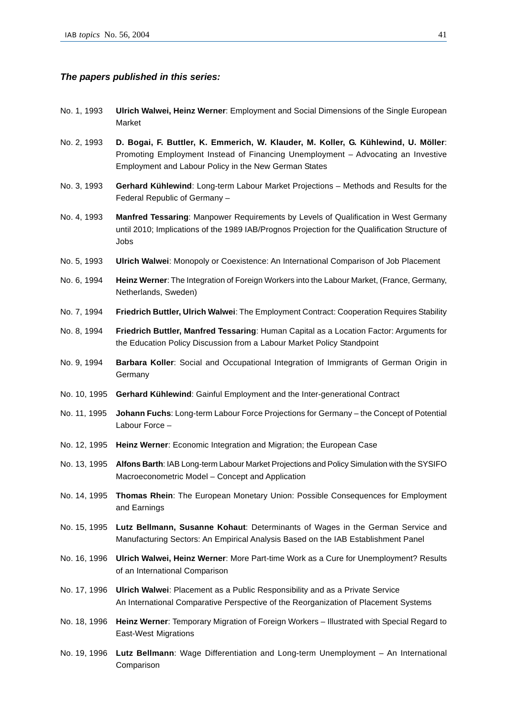#### *The papers published in this series:*

- No. 1, 1993 **Ulrich Walwei, Heinz Werner**: Employment and Social Dimensions of the Single European Market
- No. 2, 1993 **D. Bogai, F. Buttler, K. Emmerich, W. Klauder, M. Koller, G. Kühlewind, U. Möller**: Promoting Employment Instead of Financing Unemployment – Advocating an Investive Employment and Labour Policy in the New German States
- No. 3, 1993 **Gerhard Kühlewind**: Long-term Labour Market Projections Methods and Results for the Federal Republic of Germany –
- No. 4, 1993 **Manfred Tessaring**: Manpower Requirements by Levels of Qualification in West Germany until 2010; Implications of the 1989 IAB/Prognos Projection for the Qualification Structure of Jobs
- No. 5, 1993 **Ulrich Walwei**: Monopoly or Coexistence: An International Comparison of Job Placement
- No. 6, 1994 **Heinz Werner**: The Integration of Foreign Workers into the Labour Market, (France, Germany, Netherlands, Sweden)
- No. 7, 1994 **Friedrich Buttler, Ulrich Walwei**: The Employment Contract: Cooperation Requires Stability
- No. 8, 1994 **Friedrich Buttler, Manfred Tessaring**: Human Capital as a Location Factor: Arguments for the Education Policy Discussion from a Labour Market Policy Standpoint
- No. 9, 1994 **Barbara Koller**: Social and Occupational Integration of Immigrants of German Origin in Germany
- No. 10, 1995 **Gerhard Kühlewind**: Gainful Employment and the Inter-generational Contract
- No. 11, 1995 **Johann Fuchs**: Long-term Labour Force Projections for Germany the Concept of Potential Labour Force –
- No. 12, 1995 **Heinz Werner**: Economic Integration and Migration; the European Case
- No. 13, 1995 **Alfons Barth**: IAB Long-term Labour Market Projections and Policy Simulation with the SYSIFO Macroeconometric Model – Concept and Application
- No. 14, 1995 **Thomas Rhein**: The European Monetary Union: Possible Consequences for Employment and Earnings
- No. 15, 1995 **Lutz Bellmann, Susanne Kohaut**: Determinants of Wages in the German Service and Manufacturing Sectors: An Empirical Analysis Based on the IAB Establishment Panel
- No. 16, 1996 **Ulrich Walwei, Heinz Werner**: More Part-time Work as a Cure for Unemployment? Results of an International Comparison
- No. 17, 1996 **Ulrich Walwei**: Placement as a Public Responsibility and as a Private Service An International Comparative Perspective of the Reorganization of Placement Systems
- No. 18, 1996 **Heinz Werner**: Temporary Migration of Foreign Workers Illustrated with Special Regard to East-West Migrations
- No. 19, 1996 **Lutz Bellmann**: Wage Differentiation and Long-term Unemployment An International Comparison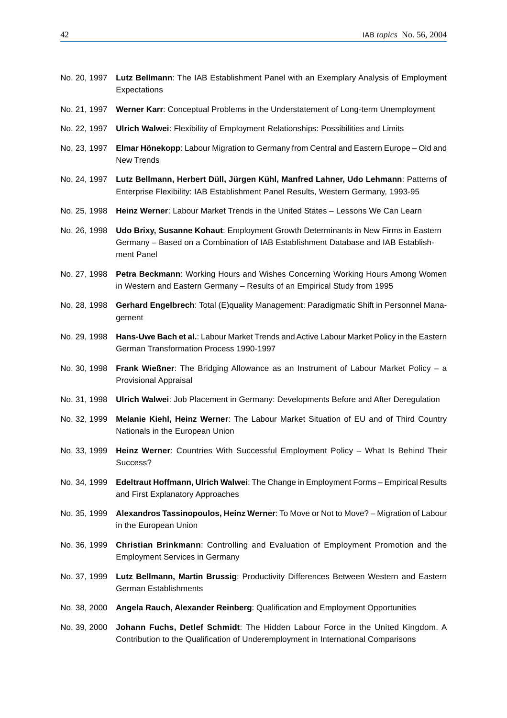- No. 20, 1997 **Lutz Bellmann**: The IAB Establishment Panel with an Exemplary Analysis of Employment Expectations
- No. 21, 1997 **Werner Karr**: Conceptual Problems in the Understatement of Long-term Unemployment
- No. 22, 1997 **Ulrich Walwei**: Flexibility of Employment Relationships: Possibilities and Limits
- No. 23, 1997 **Elmar Hönekopp**: Labour Migration to Germany from Central and Eastern Europe Old and New Trends
- No. 24, 1997 **Lutz Bellmann, Herbert Düll, Jürgen Kühl, Manfred Lahner, Udo Lehmann**: Patterns of Enterprise Flexibility: IAB Establishment Panel Results, Western Germany, 1993-95
- No. 25, 1998 **Heinz Werner**: Labour Market Trends in the United States Lessons We Can Learn
- No. 26, 1998 **Udo Brixy, Susanne Kohaut**: Employment Growth Determinants in New Firms in Eastern Germany – Based on a Combination of IAB Establishment Database and IAB Establishment Panel
- No. 27, 1998 **Petra Beckmann**: Working Hours and Wishes Concerning Working Hours Among Women in Western and Eastern Germany – Results of an Empirical Study from 1995
- No. 28, 1998 **Gerhard Engelbrech**: Total (E)quality Management: Paradigmatic Shift in Personnel Management
- No. 29, 1998 **Hans-Uwe Bach et al.**: Labour Market Trends and Active Labour Market Policy in the Eastern German Transformation Process 1990-1997
- No. 30, 1998 **Frank Wießner**: The Bridging Allowance as an Instrument of Labour Market Policy a Provisional Appraisal
- No. 31, 1998 **Ulrich Walwei**: Job Placement in Germany: Developments Before and After Deregulation
- No. 32, 1999 **Melanie Kiehl, Heinz Werner**: The Labour Market Situation of EU and of Third Country Nationals in the European Union
- No. 33, 1999 **Heinz Werner**: Countries With Successful Employment Policy What Is Behind Their Success?
- No. 34, 1999 **Edeltraut Hoffmann, Ulrich Walwei**: The Change in Employment Forms Empirical Results and First Explanatory Approaches
- No. 35, 1999 **Alexandros Tassinopoulos, Heinz Werner**: To Move or Not to Move? Migration of Labour in the European Union
- No. 36, 1999 **Christian Brinkmann**: Controlling and Evaluation of Employment Promotion and the Employment Services in Germany
- No. 37, 1999 **Lutz Bellmann, Martin Brussig**: Productivity Differences Between Western and Eastern German Establishments
- No. 38, 2000 **Angela Rauch, Alexander Reinberg**: Qualification and Employment Opportunities
- No. 39, 2000 **Johann Fuchs, Detlef Schmidt**: The Hidden Labour Force in the United Kingdom. A Contribution to the Qualification of Underemployment in International Comparisons